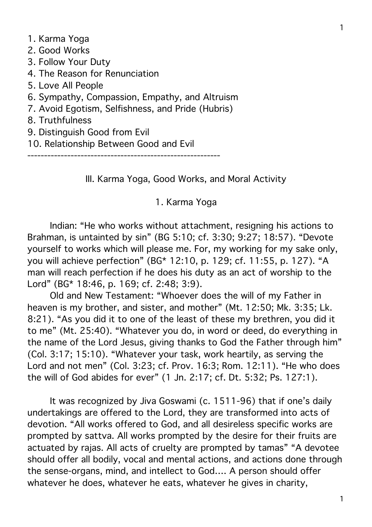1. Karma Yoga 2. Good Works 3. Follow Your Duty 4. The Reason for Renunciation 5. Love All People 6. Sympathy, Compassion, Empathy, and Altruism 7. Avoid Egotism, Selfishness, and Pride (Hubris) 8. Truthfulness

- 9. Distinguish Good from Evil
- 10. Relationship Between Good and Evil

----------------------------------------------------------

III. Karma Yoga, Good Works, and Moral Activity

1. Karma Yoga

Indian: "He who works without attachment, resigning his actions to Brahman, is untainted by sin" (BG 5:10; cf. 3:30; 9:27; 18:57). "Devote yourself to works which will please me. For, my working for my sake only, you will achieve perfection" (BG\* 12:10, p. 129; cf. 11:55, p. 127). "A man will reach perfection if he does his duty as an act of worship to the Lord" (BG\* 18:46, p. 169; cf. 2:48; 3:9).

Old and New Testament: "Whoever does the will of my Father in heaven is my brother, and sister, and mother" (Mt. 12:50; Mk. 3:35; Lk. 8:21). "As you did it to one of the least of these my brethren, you did it to me" (Mt. 25:40). "Whatever you do, in word or deed, do everything in the name of the Lord Jesus, giving thanks to God the Father through him" (Col. 3:17; 15:10). "Whatever your task, work heartily, as serving the Lord and not men" (Col. 3:23; cf. Prov. 16:3; Rom. 12:11). "He who does the will of God abides for ever" (1 Jn. 2:17; cf. Dt. 5:32; Ps. 127:1).

It was recognized by Jiva Goswami (c. 1511-96) that if one's daily undertakings are offered to the Lord, they are transformed into acts of devotion. "All works offered to God, and all desireless specific works are prompted by sattva. All works prompted by the desire for their fruits are actuated by rajas. All acts of cruelty are prompted by tamas" "A devotee should offer all bodily, vocal and mental actions, and actions done through the sense-organs, mind, and intellect to God…. A person should offer whatever he does, whatever he eats, whatever he gives in charity,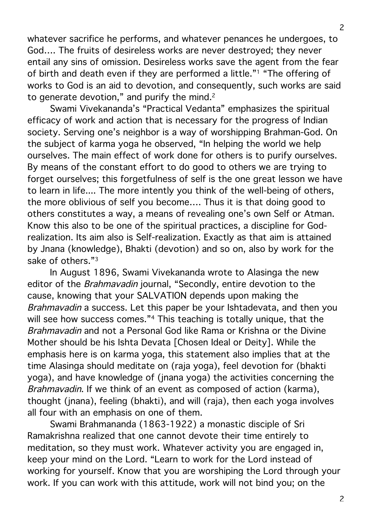whatever sacrifice he performs, and whatever penances he undergoes, to God…. The fruits of desireless works are never destroyed; they never entail any sins of omission. Desireless works save the agent from the fear of birth and death even if they are performed a little."1 "The offering of works to God is an aid to devotion, and consequently, such works are said to generate devotion," and purify the mind.<sup>2</sup>

Swami Vivekananda's "Practical Vedanta" emphasizes the spiritual efficacy of work and action that is necessary for the progress of Indian society. Serving one's neighbor is a way of worshipping Brahman-God. On the subject of karma yoga he observed, "In helping the world we help ourselves. The main effect of work done for others is to purify ourselves. By means of the constant effort to do good to others we are trying to forget ourselves; this forgetfulness of self is the one great lesson we have to learn in life.... The more intently you think of the well-being of others, the more oblivious of self you become…. Thus it is that doing good to others constitutes a way, a means of revealing one's own Self or Atman. Know this also to be one of the spiritual practices, a discipline for Godrealization. Its aim also is Self-realization. Exactly as that aim is attained by Jnana (knowledge), Bhakti (devotion) and so on, also by work for the sake of others."3

In August 1896, Swami Vivekananda wrote to Alasinga the new editor of the Brahmavadin journal, "Secondly, entire devotion to the cause, knowing that your SALVATION depends upon making the Brahmavadin a success. Let this paper be your Ishtadevata, and then you will see how success comes."<sup>4</sup> This teaching is totally unique, that the Brahmavadin and not a Personal God like Rama or Krishna or the Divine Mother should be his Ishta Devata [Chosen Ideal or Deity]. While the emphasis here is on karma yoga, this statement also implies that at the time Alasinga should meditate on (raja yoga), feel devotion for (bhakti yoga), and have knowledge of (jnana yoga) the activities concerning the Brahmavadin. If we think of an event as composed of action (karma), thought (jnana), feeling (bhakti), and will (raja), then each yoga involves all four with an emphasis on one of them.

Swami Brahmananda (1863-1922) a monastic disciple of Sri Ramakrishna realized that one cannot devote their time entirely to meditation, so they must work. Whatever activity you are engaged in, keep your mind on the Lord. "Learn to work for the Lord instead of working for yourself. Know that you are worshiping the Lord through your work. If you can work with this attitude, work will not bind you; on the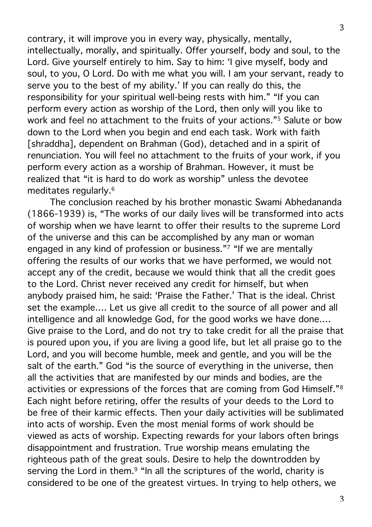contrary, it will improve you in every way, physically, mentally, intellectually, morally, and spiritually. Offer yourself, body and soul, to the Lord. Give yourself entirely to him. Say to him: 'I give myself, body and soul, to you, O Lord. Do with me what you will. I am your servant, ready to serve you to the best of my ability.' If you can really do this, the responsibility for your spiritual well-being rests with him." "If you can perform every action as worship of the Lord, then only will you like to work and feel no attachment to the fruits of your actions."5 Salute or bow down to the Lord when you begin and end each task. Work with faith [shraddha], dependent on Brahman (God), detached and in a spirit of renunciation. You will feel no attachment to the fruits of your work, if you perform every action as a worship of Brahman. However, it must be realized that "it is hard to do work as worship" unless the devotee meditates regularly.6

The conclusion reached by his brother monastic Swami Abhedananda (1866-1939) is, "The works of our daily lives will be transformed into acts of worship when we have learnt to offer their results to the supreme Lord of the universe and this can be accomplished by any man or woman engaged in any kind of profession or business."7 "If we are mentally offering the results of our works that we have performed, we would not accept any of the credit, because we would think that all the credit goes to the Lord. Christ never received any credit for himself, but when anybody praised him, he said: 'Praise the Father.' That is the ideal. Christ set the example…. Let us give all credit to the source of all power and all intelligence and all knowledge God, for the good works we have done…. Give praise to the Lord, and do not try to take credit for all the praise that is poured upon you, if you are living a good life, but let all praise go to the Lord, and you will become humble, meek and gentle, and you will be the salt of the earth." God "is the source of everything in the universe, then all the activities that are manifested by our minds and bodies, are the activities or expressions of the forces that are coming from God Himself."8 Each night before retiring, offer the results of your deeds to the Lord to be free of their karmic effects. Then your daily activities will be sublimated into acts of worship. Even the most menial forms of work should be viewed as acts of worship. Expecting rewards for your labors often brings disappointment and frustration. True worship means emulating the righteous path of the great souls. Desire to help the downtrodden by serving the Lord in them.<sup>9</sup> "In all the scriptures of the world, charity is considered to be one of the greatest virtues. In trying to help others, we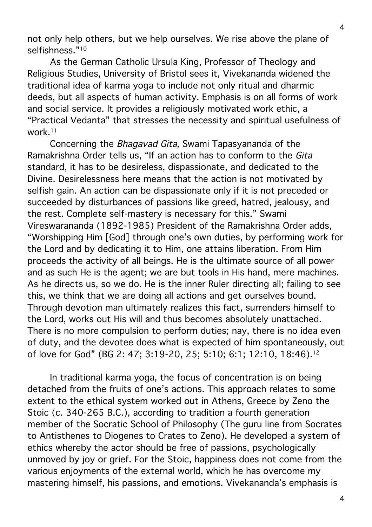not only help others, but we help ourselves. We rise above the plane of selfishness."<sup>10</sup>

As the German Catholic Ursula King, Professor of Theology and Religious Studies, University of Bristol sees it, Vivekananda widened the traditional idea of karma yoga to include not only ritual and dharmic deeds, but all aspects of human activity. Emphasis is on all forms of work and social service. It provides a religiously motivated work ethic, a "Practical Vedanta" that stresses the necessity and spiritual usefulness of work.11

Concerning the Bhagavad Gita, Swami Tapasyananda of the Ramakrishna Order tells us, "If an action has to conform to the Gita standard, it has to be desireless, dispassionate, and dedicated to the Divine. Desirelessness here means that the action is not motivated by selfish gain. An action can be dispassionate only if it is not preceded or succeeded by disturbances of passions like greed, hatred, jealousy, and the rest. Complete self-mastery is necessary for this." Swami Vireswarananda (1892-1985) President of the Ramakrishna Order adds, "Worshipping Him [God] through one's own duties, by performing work for the Lord and by dedicating it to Him, one attains liberation. From Him proceeds the activity of all beings. He is the ultimate source of all power and as such He is the agent; we are but tools in His hand, mere machines. As he directs us, so we do. He is the inner Ruler directing all; failing to see this, we think that we are doing all actions and get ourselves bound. Through devotion man ultimately realizes this fact, surrenders himself to the Lord, works out His will and thus becomes absolutely unattached. There is no more compulsion to perform duties; nay, there is no idea even of duty, and the devotee does what is expected of him spontaneously, out of love for God" (BG 2: 47; 3:19-20, 25; 5:10; 6:1; 12:10, 18:46).12

In traditional karma yoga, the focus of concentration is on being detached from the fruits of one's actions. This approach relates to some extent to the ethical system worked out in Athens, Greece by Zeno the Stoic (c. 340-265 B.C.), according to tradition a fourth generation member of the Socratic School of Philosophy (The guru line from Socrates to Antisthenes to Diogenes to Crates to Zeno). He developed a system of ethics whereby the actor should be free of passions, psychologically unmoved by joy or grief. For the Stoic, happiness does not come from the various enjoyments of the external world, which he has overcome my mastering himself, his passions, and emotions. Vivekananda's emphasis is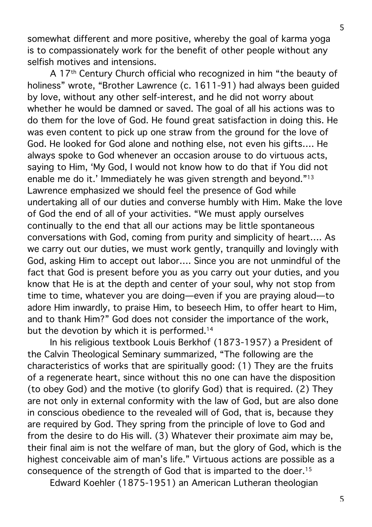somewhat different and more positive, whereby the goal of karma yoga is to compassionately work for the benefit of other people without any selfish motives and intensions.

A 17th Century Church official who recognized in him "the beauty of holiness" wrote, "Brother Lawrence (c. 1611-91) had always been guided by love, without any other self-interest, and he did not worry about whether he would be damned or saved. The goal of all his actions was to do them for the love of God. He found great satisfaction in doing this. He was even content to pick up one straw from the ground for the love of God. He looked for God alone and nothing else, not even his gifts…. He always spoke to God whenever an occasion arouse to do virtuous acts, saying to Him, 'My God, I would not know how to do that if You did not enable me do it.' Immediately he was given strength and beyond."13 Lawrence emphasized we should feel the presence of God while undertaking all of our duties and converse humbly with Him. Make the love of God the end of all of your activities. "We must apply ourselves continually to the end that all our actions may be little spontaneous conversations with God, coming from purity and simplicity of heart…. As we carry out our duties, we must work gently, tranquilly and lovingly with God, asking Him to accept out labor…. Since you are not unmindful of the fact that God is present before you as you carry out your duties, and you know that He is at the depth and center of your soul, why not stop from time to time, whatever you are doing—even if you are praying aloud—to adore Him inwardly, to praise Him, to beseech Him, to offer heart to Him, and to thank Him?" God does not consider the importance of the work, but the devotion by which it is performed.<sup>14</sup>

In his religious textbook Louis Berkhof (1873-1957) a President of the Calvin Theological Seminary summarized, "The following are the characteristics of works that are spiritually good: (1) They are the fruits of a regenerate heart, since without this no one can have the disposition (to obey God) and the motive (to glorify God) that is required. (2) They are not only in external conformity with the law of God, but are also done in conscious obedience to the revealed will of God, that is, because they are required by God. They spring from the principle of love to God and from the desire to do His will. (3) Whatever their proximate aim may be, their final aim is not the welfare of man, but the glory of God, which is the highest conceivable aim of man's life." Virtuous actions are possible as a consequence of the strength of God that is imparted to the doer.15

Edward Koehler (1875-1951) an American Lutheran theologian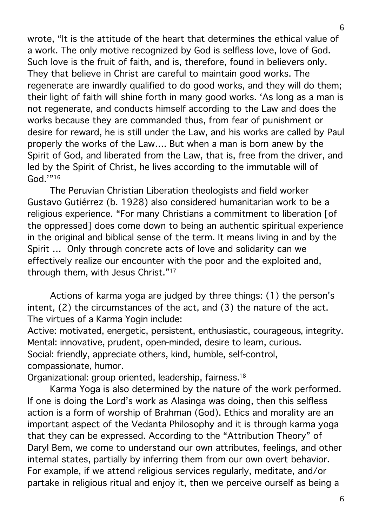wrote, "It is the attitude of the heart that determines the ethical value of a work. The only motive recognized by God is selfless love, love of God. Such love is the fruit of faith, and is, therefore, found in believers only. They that believe in Christ are careful to maintain good works. The regenerate are inwardly qualified to do good works, and they will do them; their light of faith will shine forth in many good works. 'As long as a man is not regenerate, and conducts himself according to the Law and does the works because they are commanded thus, from fear of punishment or desire for reward, he is still under the Law, and his works are called by Paul properly the works of the Law…. But when a man is born anew by the Spirit of God, and liberated from the Law, that is, free from the driver, and led by the Spirit of Christ, he lives according to the immutable will of God.'"16

The Peruvian Christian Liberation theologists and field worker Gustavo Gutiérrez (b. 1928) also considered humanitarian work to be a religious experience. "For many Christians a commitment to liberation [of the oppressed] does come down to being an authentic spiritual experience in the original and biblical sense of the term. It means living in and by the Spirit … Only through concrete acts of love and solidarity can we effectively realize our encounter with the poor and the exploited and, through them, with Jesus Christ."17

Actions of karma yoga are judged by three things: (1) the person's intent, (2) the circumstances of the act, and (3) the nature of the act. The virtues of a Karma Yogin include:

Active: motivated, energetic, persistent, enthusiastic, courageous, integrity. Mental: innovative, prudent, open-minded, desire to learn, curious. Social: friendly, appreciate others, kind, humble, self-control, compassionate, humor.

Organizational: group oriented, leadership, fairness.18

Karma Yoga is also determined by the nature of the work performed. If one is doing the Lord's work as Alasinga was doing, then this selfless action is a form of worship of Brahman (God). Ethics and morality are an important aspect of the Vedanta Philosophy and it is through karma yoga that they can be expressed. According to the "Attribution Theory" of Daryl Bem, we come to understand our own attributes, feelings, and other internal states, partially by inferring them from our own overt behavior. For example, if we attend religious services regularly, meditate, and/or partake in religious ritual and enjoy it, then we perceive ourself as being a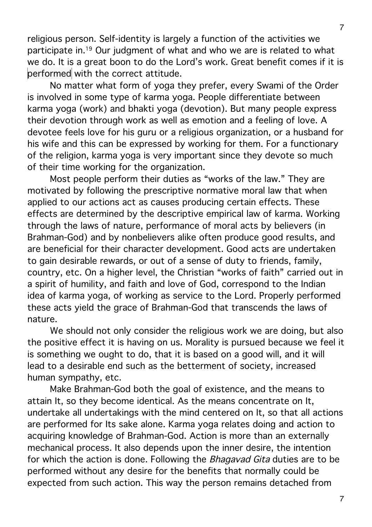religious person. Self-identity is largely a function of the activities we participate in.19 Our judgment of what and who we are is related to what we do. It is a great boon to do the Lord's work. Great benefit comes if it is performed with the correct attitude.

No matter what form of yoga they prefer, every Swami of the Order is involved in some type of karma yoga. People differentiate between karma yoga (work) and bhakti yoga (devotion). But many people express their devotion through work as well as emotion and a feeling of love. A devotee feels love for his guru or a religious organization, or a husband for his wife and this can be expressed by working for them. For a functionary of the religion, karma yoga is very important since they devote so much of their time working for the organization.

Most people perform their duties as "works of the law." They are motivated by following the prescriptive normative moral law that when applied to our actions act as causes producing certain effects. These effects are determined by the descriptive empirical law of karma. Working through the laws of nature, performance of moral acts by believers (in Brahman-God) and by nonbelievers alike often produce good results, and are beneficial for their character development. Good acts are undertaken to gain desirable rewards, or out of a sense of duty to friends, family, country, etc. On a higher level, the Christian "works of faith" carried out in a spirit of humility, and faith and love of God, correspond to the Indian idea of karma yoga, of working as service to the Lord. Properly performed these acts yield the grace of Brahman-God that transcends the laws of nature.

We should not only consider the religious work we are doing, but also the positive effect it is having on us. Morality is pursued because we feel it is something we ought to do, that it is based on a good will, and it will lead to a desirable end such as the betterment of society, increased human sympathy, etc.

Make Brahman-God both the goal of existence, and the means to attain It, so they become identical. As the means concentrate on It, undertake all undertakings with the mind centered on It, so that all actions are performed for Its sake alone. Karma yoga relates doing and action to acquiring knowledge of Brahman-God. Action is more than an externally mechanical process. It also depends upon the inner desire, the intention for which the action is done. Following the *Bhagavad Gita* duties are to be performed without any desire for the benefits that normally could be expected from such action. This way the person remains detached from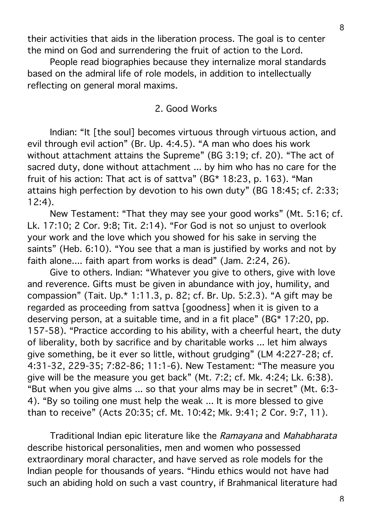their activities that aids in the liberation process. The goal is to center the mind on God and surrendering the fruit of action to the Lord.

People read biographies because they internalize moral standards based on the admiral life of role models, in addition to intellectually reflecting on general moral maxims.

#### 2. Good Works

Indian: "It [the soul] becomes virtuous through virtuous action, and evil through evil action" (Br. Up. 4:4.5). "A man who does his work without attachment attains the Supreme" (BG 3:19; cf. 20). "The act of sacred duty, done without attachment ... by him who has no care for the fruit of his action: That act is of sattva" (BG\* 18:23, p. 163). "Man attains high perfection by devotion to his own duty" (BG 18:45; cf. 2:33; 12:4).

New Testament: "That they may see your good works" (Mt. 5:16; cf. Lk. 17:10; 2 Cor. 9:8; Tit. 2:14). "For God is not so unjust to overlook your work and the love which you showed for his sake in serving the saints" (Heb. 6:10). "You see that a man is justified by works and not by faith alone.... faith apart from works is dead" (Jam. 2:24, 26).

Give to others. Indian: "Whatever you give to others, give with love and reverence. Gifts must be given in abundance with joy, humility, and compassion" (Tait. Up.\* 1:11.3, p. 82; cf. Br. Up. 5:2.3). "A gift may be regarded as proceeding from sattva [goodness] when it is given to a deserving person, at a suitable time, and in a fit place" (BG\* 17:20, pp. 157-58). "Practice according to his ability, with a cheerful heart, the duty of liberality, both by sacrifice and by charitable works ... let him always give something, be it ever so little, without grudging" (LM 4:227-28; cf. 4:31-32, 229-35; 7:82-86; 11:1-6). New Testament: "The measure you give will be the measure you get back" (Mt. 7:2; cf. Mk. 4:24; Lk. 6:38). "But when you give alms ... so that your alms may be in secret" (Mt. 6:3- 4). "By so toiling one must help the weak ... It is more blessed to give than to receive" (Acts 20:35; cf. Mt. 10:42; Mk. 9:41; 2 Cor. 9:7, 11).

Traditional Indian epic literature like the Ramayana and Mahabharata describe historical personalities, men and women who possessed extraordinary moral character, and have served as role models for the Indian people for thousands of years. "Hindu ethics would not have had such an abiding hold on such a vast country, if Brahmanical literature had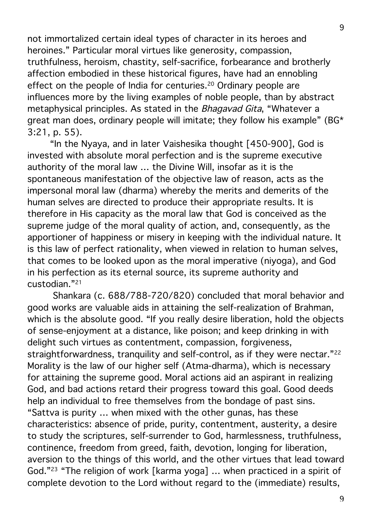not immortalized certain ideal types of character in its heroes and heroines." Particular moral virtues like generosity, compassion, truthfulness, heroism, chastity, self-sacrifice, forbearance and brotherly affection embodied in these historical figures, have had an ennobling effect on the people of India for centuries.<sup>20</sup> Ordinary people are influences more by the living examples of noble people, than by abstract metaphysical principles. As stated in the *Bhagavad Gita*, "Whatever a great man does, ordinary people will imitate; they follow his example" (BG\* 3:21, p. 55).

"In the Nyaya, and in later Vaishesika thought [450-900], God is invested with absolute moral perfection and is the supreme executive authority of the moral law … the Divine Will, insofar as it is the spontaneous manifestation of the objective law of reason, acts as the impersonal moral law (dharma) whereby the merits and demerits of the human selves are directed to produce their appropriate results. It is therefore in His capacity as the moral law that God is conceived as the supreme judge of the moral quality of action, and, consequently, as the apportioner of happiness or misery in keeping with the individual nature. It is this law of perfect rationality, when viewed in relation to human selves, that comes to be looked upon as the moral imperative (niyoga), and God in his perfection as its eternal source, its supreme authority and custodian."21

Shankara (c. 688/788-720/820) concluded that moral behavior and good works are valuable aids in attaining the self-realization of Brahman, which is the absolute good. "If you really desire liberation, hold the objects of sense-enjoyment at a distance, like poison; and keep drinking in with delight such virtues as contentment, compassion, forgiveness, straightforwardness, tranquility and self-control, as if they were nectar."<sup>22</sup> Morality is the law of our higher self (Atma-dharma), which is necessary for attaining the supreme good. Moral actions aid an aspirant in realizing God, and bad actions retard their progress toward this goal. Good deeds help an individual to free themselves from the bondage of past sins. "Sattva is purity … when mixed with the other gunas, has these characteristics: absence of pride, purity, contentment, austerity, a desire to study the scriptures, self-surrender to God, harmlessness, truthfulness, continence, freedom from greed, faith, devotion, longing for liberation, aversion to the things of this world, and the other virtues that lead toward God."23 "The religion of work [karma yoga] … when practiced in a spirit of complete devotion to the Lord without regard to the (immediate) results,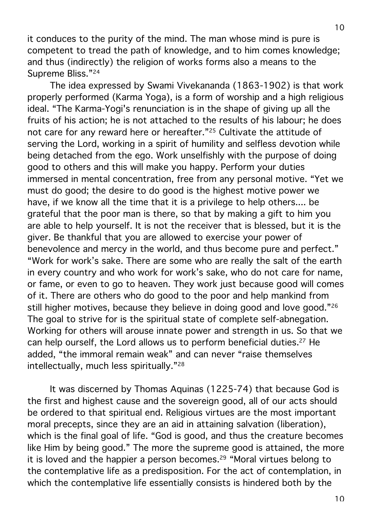it conduces to the purity of the mind. The man whose mind is pure is competent to tread the path of knowledge, and to him comes knowledge; and thus (indirectly) the religion of works forms also a means to the Supreme Bliss."24

The idea expressed by Swami Vivekananda (1863-1902) is that work properly performed (Karma Yoga), is a form of worship and a high religious ideal. "The Karma-Yogi's renunciation is in the shape of giving up all the fruits of his action; he is not attached to the results of his labour; he does not care for any reward here or hereafter."25 Cultivate the attitude of serving the Lord, working in a spirit of humility and selfless devotion while being detached from the ego. Work unselfishly with the purpose of doing good to others and this will make you happy. Perform your duties immersed in mental concentration, free from any personal motive. "Yet we must do good; the desire to do good is the highest motive power we have, if we know all the time that it is a privilege to help others.... be grateful that the poor man is there, so that by making a gift to him you are able to help yourself. It is not the receiver that is blessed, but it is the giver. Be thankful that you are allowed to exercise your power of benevolence and mercy in the world, and thus become pure and perfect." "Work for work's sake. There are some who are really the salt of the earth in every country and who work for work's sake, who do not care for name, or fame, or even to go to heaven. They work just because good will comes of it. There are others who do good to the poor and help mankind from still higher motives, because they believe in doing good and love good."<sup>26</sup> The goal to strive for is the spiritual state of complete self-abnegation. Working for others will arouse innate power and strength in us. So that we can help ourself, the Lord allows us to perform beneficial duties.27 He added, "the immoral remain weak" and can never "raise themselves intellectually, much less spiritually."28

It was discerned by Thomas Aquinas (1225-74) that because God is the first and highest cause and the sovereign good, all of our acts should be ordered to that spiritual end. Religious virtues are the most important moral precepts, since they are an aid in attaining salvation (liberation), which is the final goal of life. "God is good, and thus the creature becomes like Him by being good." The more the supreme good is attained, the more it is loved and the happier a person becomes.<sup>29</sup> "Moral virtues belong to the contemplative life as a predisposition. For the act of contemplation, in which the contemplative life essentially consists is hindered both by the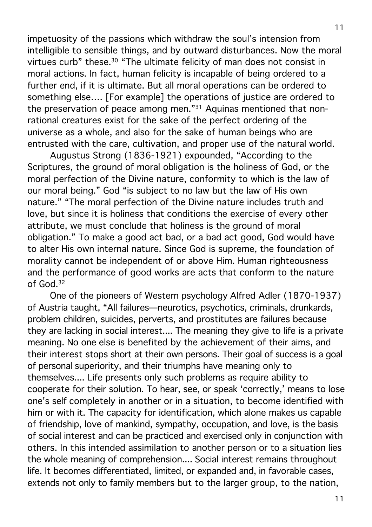impetuosity of the passions which withdraw the soul's intension from intelligible to sensible things, and by outward disturbances. Now the moral virtues curb" these.30 "The ultimate felicity of man does not consist in moral actions. In fact, human felicity is incapable of being ordered to a further end, if it is ultimate. But all moral operations can be ordered to something else…. [For example] the operations of justice are ordered to the preservation of peace among men."31 Aquinas mentioned that nonrational creatures exist for the sake of the perfect ordering of the universe as a whole, and also for the sake of human beings who are entrusted with the care, cultivation, and proper use of the natural world.

Augustus Strong (1836-1921) expounded, "According to the Scriptures, the ground of moral obligation is the holiness of God, or the moral perfection of the Divine nature, conformity to which is the law of our moral being." God "is subject to no law but the law of His own nature." "The moral perfection of the Divine nature includes truth and love, but since it is holiness that conditions the exercise of every other attribute, we must conclude that holiness is the ground of moral obligation." To make a good act bad, or a bad act good, God would have to alter His own internal nature. Since God is supreme, the foundation of morality cannot be independent of or above Him. Human righteousness and the performance of good works are acts that conform to the nature of God.32

One of the pioneers of Western psychology Alfred Adler (1870-1937) of Austria taught, "All failures—neurotics, psychotics, criminals, drunkards, problem children, suicides, perverts, and prostitutes are failures because they are lacking in social interest.... The meaning they give to life is a private meaning. No one else is benefited by the achievement of their aims, and their interest stops short at their own persons. Their goal of success is a goal of personal superiority, and their triumphs have meaning only to themselves.... Life presents only such problems as require ability to cooperate for their solution. To hear, see, or speak 'correctly,' means to lose one's self completely in another or in a situation, to become identified with him or with it. The capacity for identification, which alone makes us capable of friendship, love of mankind, sympathy, occupation, and love, is the basis of social interest and can be practiced and exercised only in conjunction with others. In this intended assimilation to another person or to a situation lies the whole meaning of comprehension.... Social interest remains throughout life. It becomes differentiated, limited, or expanded and, in favorable cases, extends not only to family members but to the larger group, to the nation,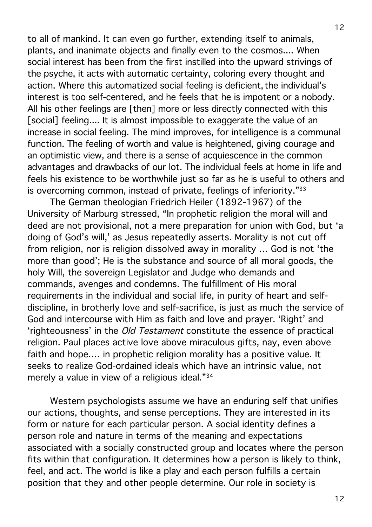to all of mankind. It can even go further, extending itself to animals, plants, and inanimate objects and finally even to the cosmos.... When social interest has been from the first instilled into the upward strivings of the psyche, it acts with automatic certainty, coloring every thought and action. Where this automatized social feeling is deficient, the individual's interest is too self-centered, and he feels that he is impotent or a nobody. All his other feelings are [then] more or less directly connected with this [social] feeling.... It is almost impossible to exaggerate the value of an increase in social feeling. The mind improves, for intelligence is a communal function. The feeling of worth and value is heightened, giving courage and an optimistic view, and there is a sense of acquiescence in the common advantages and drawbacks of our lot. The individual feels at home in life and feels his existence to be worthwhile just so far as he is useful to others and is overcoming common, instead of private, feelings of inferiority."33

The German theologian Friedrich Heiler (1892-1967) of the University of Marburg stressed, "In prophetic religion the moral will and deed are not provisional, not a mere preparation for union with God, but 'a doing of God's will,' as Jesus repeatedly asserts. Morality is not cut off from religion, nor is religion dissolved away in morality … God is not 'the more than good'; He is the substance and source of all moral goods, the holy Will, the sovereign Legislator and Judge who demands and commands, avenges and condemns. The fulfillment of His moral requirements in the individual and social life, in purity of heart and selfdiscipline, in brotherly love and self-sacrifice, is just as much the service of God and intercourse with Him as faith and love and prayer. 'Right' and 'righteousness' in the Old Testament constitute the essence of practical religion. Paul places active love above miraculous gifts, nay, even above faith and hope.… in prophetic religion morality has a positive value. It seeks to realize God-ordained ideals which have an intrinsic value, not merely a value in view of a religious ideal."34

Western psychologists assume we have an enduring self that unifies our actions, thoughts, and sense perceptions. They are interested in its form or nature for each particular person. A social identity defines a person role and nature in terms of the meaning and expectations associated with a socially constructed group and locates where the person fits within that configuration. It determines how a person is likely to think, feel, and act. The world is like a play and each person fulfills a certain position that they and other people determine. Our role in society is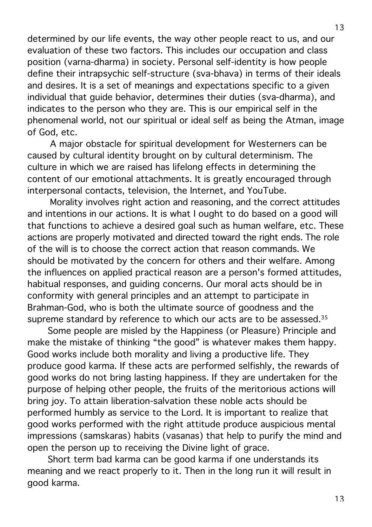determined by our life events, the way other people react to us, and our evaluation of these two factors. This includes our occupation and class position (varna-dharma) in society. Personal self-identity is how people define their intrapsychic self-structure (sva-bhava) in terms of their ideals and desires. It is a set of meanings and expectations specific to a given individual that guide behavior, determines their duties (sva-dharma), and indicates to the person who they are. This is our empirical self in the phenomenal world, not our spiritual or ideal self as being the Atman, image of God, etc.

A major obstacle for spiritual development for Westerners can be caused by cultural identity brought on by cultural determinism. The culture in which we are raised has lifelong effects in determining the content of our emotional attachments. It is greatly encouraged through interpersonal contacts, television, the Internet, and YouTube.

Morality involves right action and reasoning, and the correct attitudes and intentions in our actions. It is what I ought to do based on a good will that functions to achieve a desired goal such as human welfare, etc. These actions are properly motivated and directed toward the right ends. The role of the will is to choose the correct action that reason commands. We should be motivated by the concern for others and their welfare. Among the influences on applied practical reason are a person's formed attitudes, habitual responses, and guiding concerns. Our moral acts should be in conformity with general principles and an attempt to participate in Brahman-God, who is both the ultimate source of goodness and the supreme standard by reference to which our acts are to be assessed.<sup>35</sup>

Some people are misled by the Happiness (or Pleasure) Principle and make the mistake of thinking "the good" is whatever makes them happy. Good works include both morality and living a productive life. They produce good karma. If these acts are performed selfishly, the rewards of good works do not bring lasting happiness. If they are undertaken for the purpose of helping other people, the fruits of the meritorious actions will bring joy. To attain liberation-salvation these noble acts should be performed humbly as service to the Lord. It is important to realize that good works performed with the right attitude produce auspicious mental impressions (samskaras) habits (vasanas) that help to purify the mind and open the person up to receiving the Divine light of grace.

Short term bad karma can be good karma if one understands its meaning and we react properly to it. Then in the long run it will result in good karma.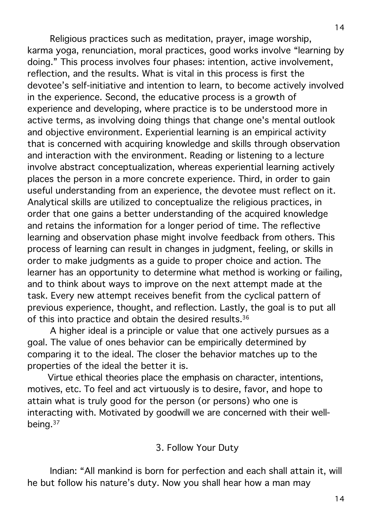Religious practices such as meditation, prayer, image worship, karma yoga, renunciation, moral practices, good works involve "learning by doing." This process involves four phases: intention, active involvement, reflection, and the results. What is vital in this process is first the devotee's self-initiative and intention to learn, to become actively involved in the experience. Second, the educative process is a growth of experience and developing, where practice is to be understood more in active terms, as involving doing things that change one's mental outlook and objective environment. Experiential learning is an empirical activity that is concerned with acquiring knowledge and skills through observation and interaction with the environment. Reading or listening to a lecture involve abstract conceptualization, whereas experiential learning actively places the person in a more concrete experience. Third, in order to gain useful understanding from an experience, the devotee must reflect on it. Analytical skills are utilized to conceptualize the religious practices, in order that one gains a better understanding of the acquired knowledge and retains the information for a longer period of time. The reflective learning and observation phase might involve feedback from others. This process of learning can result in changes in judgment, feeling, or skills in order to make judgments as a guide to proper choice and action. The learner has an opportunity to determine what method is working or failing, and to think about ways to improve on the next attempt made at the task. Every new attempt receives benefit from the cyclical pattern of previous experience, thought, and reflection. Lastly, the goal is to put all of this into practice and obtain the desired results.<sup>36</sup>

A higher ideal is a principle or value that one actively pursues as a goal. The value of ones behavior can be empirically determined by comparing it to the ideal. The closer the behavior matches up to the properties of the ideal the better it is.

Virtue ethical theories place the emphasis on character, intentions, motives, etc. To feel and act virtuously is to desire, favor, and hope to attain what is truly good for the person (or persons) who one is interacting with. Motivated by goodwill we are concerned with their wellbeing.37

### 3. Follow Your Duty

Indian: "All mankind is born for perfection and each shall attain it, will he but follow his nature's duty. Now you shall hear how a man may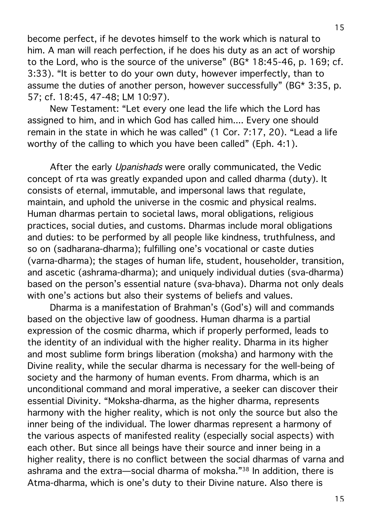become perfect, if he devotes himself to the work which is natural to him. A man will reach perfection, if he does his duty as an act of worship to the Lord, who is the source of the universe" (BG\* 18:45-46, p. 169; cf. 3:33). "It is better to do your own duty, however imperfectly, than to assume the duties of another person, however successfully" (BG\* 3:35, p. 57; cf. 18:45, 47-48; LM 10:97).

New Testament: "Let every one lead the life which the Lord has assigned to him, and in which God has called him.... Every one should remain in the state in which he was called" (1 Cor. 7:17, 20). "Lead a life worthy of the calling to which you have been called" (Eph. 4:1).

After the early *Upanishads* were orally communicated, the Vedic concept of rta was greatly expanded upon and called dharma (duty). It consists of eternal, immutable, and impersonal laws that regulate, maintain, and uphold the universe in the cosmic and physical realms. Human dharmas pertain to societal laws, moral obligations, religious practices, social duties, and customs. Dharmas include moral obligations and duties: to be performed by all people like kindness, truthfulness, and so on (sadharana-dharma); fulfilling one's vocational or caste duties (varna-dharma); the stages of human life, student, householder, transition, and ascetic (ashrama-dharma); and uniquely individual duties (sva-dharma) based on the person's essential nature (sva-bhava). Dharma not only deals with one's actions but also their systems of beliefs and values.

Dharma is a manifestation of Brahman's (God's) will and commands based on the objective law of goodness. Human dharma is a partial expression of the cosmic dharma, which if properly performed, leads to the identity of an individual with the higher reality. Dharma in its higher and most sublime form brings liberation (moksha) and harmony with the Divine reality, while the secular dharma is necessary for the well-being of society and the harmony of human events. From dharma, which is an unconditional command and moral imperative, a seeker can discover their essential Divinity. "Moksha-dharma, as the higher dharma, represents harmony with the higher reality, which is not only the source but also the inner being of the individual. The lower dharmas represent a harmony of the various aspects of manifested reality (especially social aspects) with each other. But since all beings have their source and inner being in a higher reality, there is no conflict between the social dharmas of varna and ashrama and the extra—social dharma of moksha."38 In addition, there is Atma-dharma, which is one's duty to their Divine nature. Also there is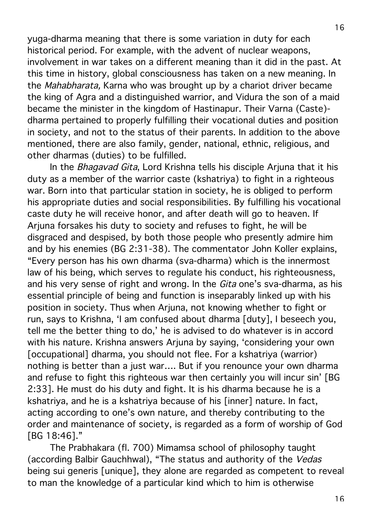yuga-dharma meaning that there is some variation in duty for each historical period. For example, with the advent of nuclear weapons, involvement in war takes on a different meaning than it did in the past. At this time in history, global consciousness has taken on a new meaning. In the Mahabharata, Karna who was brought up by a chariot driver became the king of Agra and a distinguished warrior, and Vidura the son of a maid became the minister in the kingdom of Hastinapur. Their Varna (Caste) dharma pertained to properly fulfilling their vocational duties and position in society, and not to the status of their parents. In addition to the above mentioned, there are also family, gender, national, ethnic, religious, and other dharmas (duties) to be fulfilled.

In the Bhagavad Gita, Lord Krishna tells his disciple Arjuna that it his duty as a member of the warrior caste (kshatriya) to fight in a righteous war. Born into that particular station in society, he is obliged to perform his appropriate duties and social responsibilities. By fulfilling his vocational caste duty he will receive honor, and after death will go to heaven. If Arjuna forsakes his duty to society and refuses to fight, he will be disgraced and despised, by both those people who presently admire him and by his enemies (BG 2:31-38). The commentator John Koller explains, "Every person has his own dharma (sva-dharma) which is the innermost law of his being, which serves to regulate his conduct, his righteousness, and his very sense of right and wrong. In the *Gita* one's sva-dharma, as his essential principle of being and function is inseparably linked up with his position in society. Thus when Arjuna, not knowing whether to fight or run, says to Krishna, 'I am confused about dharma [duty], I beseech you, tell me the better thing to do,' he is advised to do whatever is in accord with his nature. Krishna answers Arjuna by saying, 'considering your own [occupational] dharma, you should not flee. For a kshatriya (warrior) nothing is better than a just war…. But if you renounce your own dharma and refuse to fight this righteous war then certainly you will incur sin' [BG 2:33]. He must do his duty and fight. It is his dharma because he is a kshatriya, and he is a kshatriya because of his [inner] nature. In fact, acting according to one's own nature, and thereby contributing to the order and maintenance of society, is regarded as a form of worship of God [BG 18:46]."

The Prabhakara (fl. 700) Mimamsa school of philosophy taught (according Balbir Gauchhwal), "The status and authority of the Vedas being sui generis [unique], they alone are regarded as competent to reveal to man the knowledge of a particular kind which to him is otherwise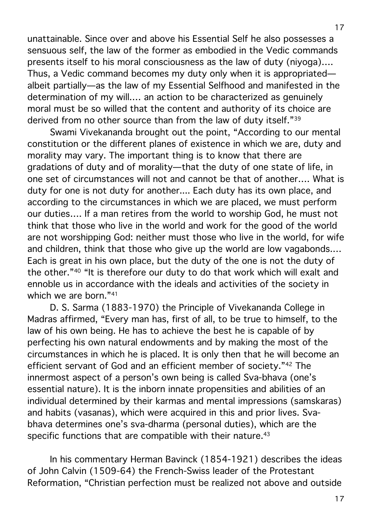unattainable. Since over and above his Essential Self he also possesses a sensuous self, the law of the former as embodied in the Vedic commands presents itself to his moral consciousness as the law of duty (niyoga)…. Thus, a Vedic command becomes my duty only when it is appropriated albeit partially—as the law of my Essential Selfhood and manifested in the determination of my will.… an action to be characterized as genuinely moral must be so willed that the content and authority of its choice are derived from no other source than from the law of duty itself."39

Swami Vivekananda brought out the point, "According to our mental constitution or the different planes of existence in which we are, duty and morality may vary. The important thing is to know that there are gradations of duty and of morality—that the duty of one state of life, in one set of circumstances will not and cannot be that of another…. What is duty for one is not duty for another.... Each duty has its own place, and according to the circumstances in which we are placed, we must perform our duties…. If a man retires from the world to worship God, he must not think that those who live in the world and work for the good of the world are not worshipping God: neither must those who live in the world, for wife and children, think that those who give up the world are low vagabonds.… Each is great in his own place, but the duty of the one is not the duty of the other."40 "It is therefore our duty to do that work which will exalt and ennoble us in accordance with the ideals and activities of the society in which we are born."41

D. S. Sarma (1883-1970) the Principle of Vivekananda College in Madras affirmed, "Every man has, first of all, to be true to himself, to the law of his own being. He has to achieve the best he is capable of by perfecting his own natural endowments and by making the most of the circumstances in which he is placed. It is only then that he will become an efficient servant of God and an efficient member of society."42 The innermost aspect of a person's own being is called Sva-bhava (one's essential nature). It is the inborn innate propensities and abilities of an individual determined by their karmas and mental impressions (samskaras) and habits (vasanas), which were acquired in this and prior lives. Svabhava determines one's sva-dharma (personal duties), which are the specific functions that are compatible with their nature.<sup>43</sup>

In his commentary Herman Bavinck (1854-1921) describes the ideas of John Calvin (1509-64) the French-Swiss leader of the Protestant Reformation, "Christian perfection must be realized not above and outside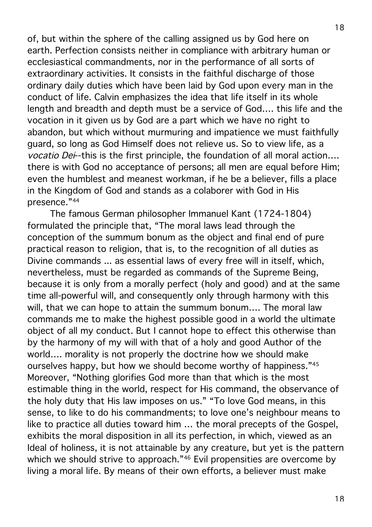of, but within the sphere of the calling assigned us by God here on earth. Perfection consists neither in compliance with arbitrary human or ecclesiastical commandments, nor in the performance of all sorts of extraordinary activities. It consists in the faithful discharge of those ordinary daily duties which have been laid by God upon every man in the conduct of life. Calvin emphasizes the idea that life itself in its whole length and breadth and depth must be a service of God…. this life and the vocation in it given us by God are a part which we have no right to abandon, but which without murmuring and impatience we must faithfully guard, so long as God Himself does not relieve us. So to view life, as a vocatio Dei--this is the first principle, the foundation of all moral action.... there is with God no acceptance of persons; all men are equal before Him; even the humblest and meanest workman, if he be a believer, fills a place in the Kingdom of God and stands as a colaborer with God in His presence."44

The famous German philosopher Immanuel Kant (1724-1804) formulated the principle that, "The moral laws lead through the conception of the summum bonum as the object and final end of pure practical reason to religion, that is, to the recognition of all duties as Divine commands ... as essential laws of every free will in itself, which, nevertheless, must be regarded as commands of the Supreme Being, because it is only from a morally perfect (holy and good) and at the same time all-powerful will, and consequently only through harmony with this will, that we can hope to attain the summum bonum…. The moral law commands me to make the highest possible good in a world the ultimate object of all my conduct. But I cannot hope to effect this otherwise than by the harmony of my will with that of a holy and good Author of the world…. morality is not properly the doctrine how we should make ourselves happy, but how we should become worthy of happiness."45 Moreover, "Nothing glorifies God more than that which is the most estimable thing in the world, respect for His command, the observance of the holy duty that His law imposes on us." "To love God means, in this sense, to like to do his commandments; to love one's neighbour means to like to practice all duties toward him … the moral precepts of the Gospel, exhibits the moral disposition in all its perfection, in which, viewed as an Ideal of holiness, it is not attainable by any creature, but yet is the pattern which we should strive to approach."<sup>46</sup> Evil propensities are overcome by living a moral life. By means of their own efforts, a believer must make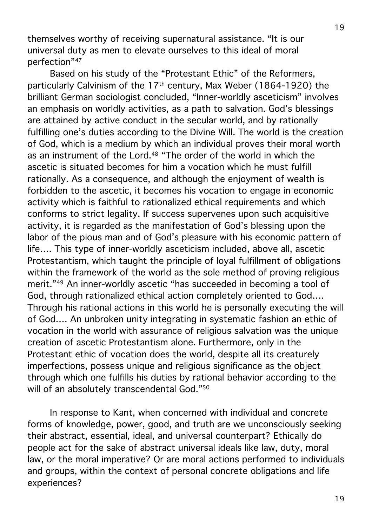themselves worthy of receiving supernatural assistance. "It is our universal duty as men to elevate ourselves to this ideal of moral perfection"47

Based on his study of the "Protestant Ethic" of the Reformers, particularly Calvinism of the 17th century, Max Weber (1864-1920) the brilliant German sociologist concluded, "Inner-worldly asceticism" involves an emphasis on worldly activities, as a path to salvation. God's blessings are attained by active conduct in the secular world, and by rationally fulfilling one's duties according to the Divine Will. The world is the creation of God, which is a medium by which an individual proves their moral worth as an instrument of the Lord.<sup>48</sup> "The order of the world in which the ascetic is situated becomes for him a vocation which he must fulfill rationally. As a consequence, and although the enjoyment of wealth is forbidden to the ascetic, it becomes his vocation to engage in economic activity which is faithful to rationalized ethical requirements and which conforms to strict legality. If success supervenes upon such acquisitive activity, it is regarded as the manifestation of God's blessing upon the labor of the pious man and of God's pleasure with his economic pattern of life…. This type of inner-worldly asceticism included, above all, ascetic Protestantism, which taught the principle of loyal fulfillment of obligations within the framework of the world as the sole method of proving religious merit."49 An inner-worldly ascetic "has succeeded in becoming a tool of God, through rationalized ethical action completely oriented to God…. Through his rational actions in this world he is personally executing the will of God…. An unbroken unity integrating in systematic fashion an ethic of vocation in the world with assurance of religious salvation was the unique creation of ascetic Protestantism alone. Furthermore, only in the Protestant ethic of vocation does the world, despite all its creaturely imperfections, possess unique and religious significance as the object through which one fulfills his duties by rational behavior according to the will of an absolutely transcendental God."<sup>50</sup>

In response to Kant, when concerned with individual and concrete forms of knowledge, power, good, and truth are we unconsciously seeking their abstract, essential, ideal, and universal counterpart? Ethically do people act for the sake of abstract universal ideals like law, duty, moral law, or the moral imperative? Or are moral actions performed to individuals and groups, within the context of personal concrete obligations and life experiences?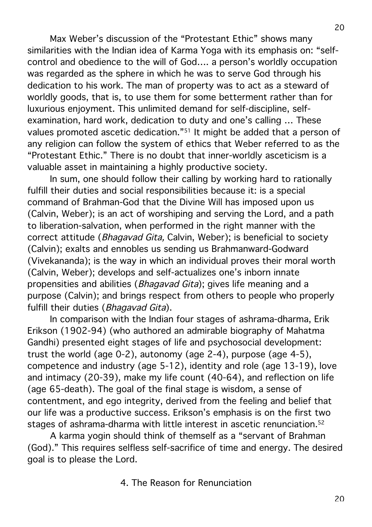Max Weber's discussion of the "Protestant Ethic" shows many similarities with the Indian idea of Karma Yoga with its emphasis on: "selfcontrol and obedience to the will of God…. a person's worldly occupation was regarded as the sphere in which he was to serve God through his dedication to his work. The man of property was to act as a steward of worldly goods, that is, to use them for some betterment rather than for luxurious enjoyment. This unlimited demand for self-discipline, selfexamination, hard work, dedication to duty and one's calling … These values promoted ascetic dedication."51 It might be added that a person of any religion can follow the system of ethics that Weber referred to as the "Protestant Ethic." There is no doubt that inner-worldly asceticism is a valuable asset in maintaining a highly productive society.

In sum, one should follow their calling by working hard to rationally fulfill their duties and social responsibilities because it: is a special command of Brahman-God that the Divine Will has imposed upon us (Calvin, Weber); is an act of worshiping and serving the Lord, and a path to liberation-salvation, when performed in the right manner with the correct attitude (Bhagavad Gita, Calvin, Weber); is beneficial to society (Calvin); exalts and ennobles us sending us Brahmanward-Godward (Vivekananda); is the way in which an individual proves their moral worth (Calvin, Weber); develops and self-actualizes one's inborn innate propensities and abilities (Bhagavad Gita); gives life meaning and a purpose (Calvin); and brings respect from others to people who properly fulfill their duties (*Bhagavad Gita*).

In comparison with the Indian four stages of ashrama-dharma, Erik Erikson (1902-94) (who authored an admirable biography of Mahatma Gandhi) presented eight stages of life and psychosocial development: trust the world (age 0-2), autonomy (age 2-4), purpose (age 4-5), competence and industry (age 5-12), identity and role (age 13-19), love and intimacy (20-39), make my life count (40-64), and reflection on life (age 65-death). The goal of the final stage is wisdom, a sense of contentment, and ego integrity, derived from the feeling and belief that our life was a productive success. Erikson's emphasis is on the first two stages of ashrama-dharma with little interest in ascetic renunciation.52

A karma yogin should think of themself as a "servant of Brahman (God)." This requires selfless self-sacrifice of time and energy. The desired goal is to please the Lord.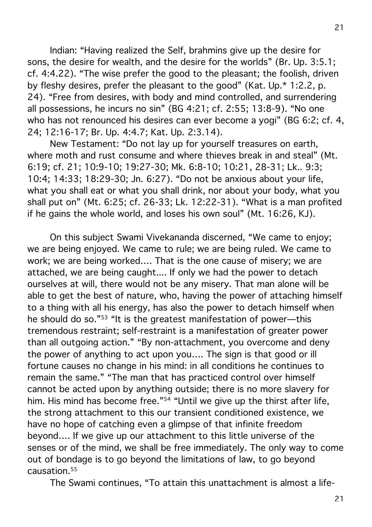Indian: "Having realized the Self, brahmins give up the desire for sons, the desire for wealth, and the desire for the worlds" (Br. Up. 3:5.1; cf. 4:4.22). "The wise prefer the good to the pleasant; the foolish, driven by fleshy desires, prefer the pleasant to the good" (Kat. Up.\* 1:2.2, p. 24). "Free from desires, with body and mind controlled, and surrendering all possessions, he incurs no sin" (BG 4:21; cf. 2:55; 13:8-9). "No one who has not renounced his desires can ever become a yogi" (BG 6:2; cf. 4, 24; 12:16-17; Br. Up. 4:4.7; Kat. Up. 2:3.14).

New Testament: "Do not lay up for yourself treasures on earth, where moth and rust consume and where thieves break in and steal" (Mt. 6:19; cf. 21; 10:9-10; 19:27-30; Mk. 6:8-10; 10:21, 28-31; Lk.. 9:3; 10:4; 14:33; 18:29-30; Jn. 6:27). "Do not be anxious about your life, what you shall eat or what you shall drink, nor about your body, what you shall put on" (Mt. 6:25; cf. 26-33; Lk. 12:22-31). "What is a man profited if he gains the whole world, and loses his own soul" (Mt. 16:26, KJ).

On this subject Swami Vivekananda discerned, "We came to enjoy; we are being enjoyed. We came to rule; we are being ruled. We came to work; we are being worked…. That is the one cause of misery; we are attached, we are being caught.... If only we had the power to detach ourselves at will, there would not be any misery. That man alone will be able to get the best of nature, who, having the power of attaching himself to a thing with all his energy, has also the power to detach himself when he should do so."53 "It is the greatest manifestation of power—this tremendous restraint; self-restraint is a manifestation of greater power than all outgoing action." "By non-attachment, you overcome and deny the power of anything to act upon you…. The sign is that good or ill fortune causes no change in his mind: in all conditions he continues to remain the same." "The man that has practiced control over himself cannot be acted upon by anything outside; there is no more slavery for him. His mind has become free."<sup>54</sup> "Until we give up the thirst after life, the strong attachment to this our transient conditioned existence, we have no hope of catching even a glimpse of that infinite freedom beyond…. If we give up our attachment to this little universe of the senses or of the mind, we shall be free immediately. The only way to come out of bondage is to go beyond the limitations of law, to go beyond causation.55

The Swami continues, "To attain this unattachment is almost a life-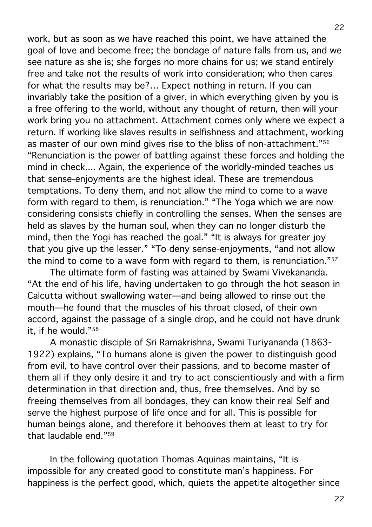work, but as soon as we have reached this point, we have attained the goal of love and become free; the bondage of nature falls from us, and we see nature as she is; she forges no more chains for us; we stand entirely free and take not the results of work into consideration; who then cares for what the results may be?… Expect nothing in return. If you can invariably take the position of a giver, in which everything given by you is a free offering to the world, without any thought of return, then will your work bring you no attachment. Attachment comes only where we expect a return. If working like slaves results in selfishness and attachment, working as master of our own mind gives rise to the bliss of non-attachment."56 "Renunciation is the power of battling against these forces and holding the mind in check.... Again, the experience of the worldly-minded teaches us that sense-enjoyments are the highest ideal. These are tremendous temptations. To deny them, and not allow the mind to come to a wave form with regard to them, is renunciation." "The Yoga which we are now considering consists chiefly in controlling the senses. When the senses are held as slaves by the human soul, when they can no longer disturb the mind, then the Yogi has reached the goal." "It is always for greater joy that you give up the lesser." "To deny sense-enjoyments, "and not allow the mind to come to a wave form with regard to them, is renunciation."<sup>57</sup>

The ultimate form of fasting was attained by Swami Vivekananda. "At the end of his life, having undertaken to go through the hot season in Calcutta without swallowing water—and being allowed to rinse out the mouth—he found that the muscles of his throat closed, of their own accord, against the passage of a single drop, and he could not have drunk it, if he would."58

A monastic disciple of Sri Ramakrishna, Swami Turiyananda (1863- 1922) explains, "To humans alone is given the power to distinguish good from evil, to have control over their passions, and to become master of them all if they only desire it and try to act conscientiously and with a firm determination in that direction and, thus, free themselves. And by so freeing themselves from all bondages, they can know their real Self and serve the highest purpose of life once and for all. This is possible for human beings alone, and therefore it behooves them at least to try for that laudable end."59

In the following quotation Thomas Aquinas maintains, "It is impossible for any created good to constitute man's happiness. For happiness is the perfect good, which, quiets the appetite altogether since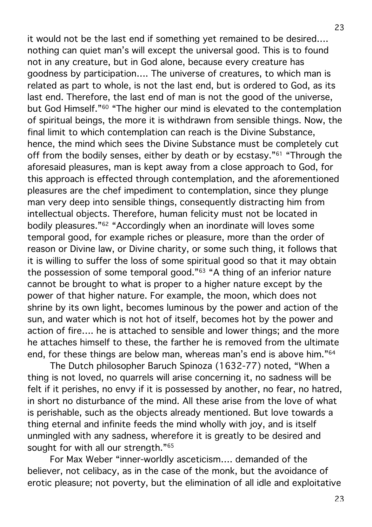it would not be the last end if something yet remained to be desired…. nothing can quiet man's will except the universal good. This is to found not in any creature, but in God alone, because every creature has goodness by participation…. The universe of creatures, to which man is related as part to whole, is not the last end, but is ordered to God, as its last end. Therefore, the last end of man is not the good of the universe, but God Himself."60 "The higher our mind is elevated to the contemplation of spiritual beings, the more it is withdrawn from sensible things. Now, the final limit to which contemplation can reach is the Divine Substance, hence, the mind which sees the Divine Substance must be completely cut off from the bodily senses, either by death or by ecstasy."61 "Through the aforesaid pleasures, man is kept away from a close approach to God, for this approach is effected through contemplation, and the aforementioned pleasures are the chef impediment to contemplation, since they plunge man very deep into sensible things, consequently distracting him from intellectual objects. Therefore, human felicity must not be located in bodily pleasures."62 "Accordingly when an inordinate will loves some temporal good, for example riches or pleasure, more than the order of reason or Divine law, or Divine charity, or some such thing, it follows that it is willing to suffer the loss of some spiritual good so that it may obtain the possession of some temporal good."63 "A thing of an inferior nature cannot be brought to what is proper to a higher nature except by the power of that higher nature. For example, the moon, which does not shrine by its own light, becomes luminous by the power and action of the sun, and water which is not hot of itself, becomes hot by the power and action of fire…. he is attached to sensible and lower things; and the more he attaches himself to these, the farther he is removed from the ultimate end, for these things are below man, whereas man's end is above him."64

The Dutch philosopher Baruch Spinoza (1632-77) noted, "When a thing is not loved, no quarrels will arise concerning it, no sadness will be felt if it perishes, no envy if it is possessed by another, no fear, no hatred, in short no disturbance of the mind. All these arise from the love of what is perishable, such as the objects already mentioned. But love towards a thing eternal and infinite feeds the mind wholly with joy, and is itself unmingled with any sadness, wherefore it is greatly to be desired and sought for with all our strength."<sup>65</sup>

For Max Weber "inner-worldly asceticism…. demanded of the believer, not celibacy, as in the case of the monk, but the avoidance of erotic pleasure; not poverty, but the elimination of all idle and exploitative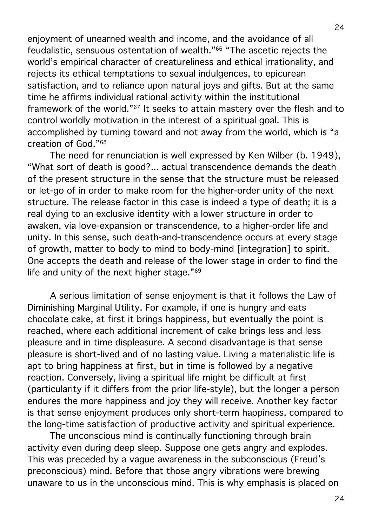enjoyment of unearned wealth and income, and the avoidance of all feudalistic, sensuous ostentation of wealth."66 "The ascetic rejects the world's empirical character of creatureliness and ethical irrationality, and rejects its ethical temptations to sexual indulgences, to epicurean satisfaction, and to reliance upon natural joys and gifts. But at the same time he affirms individual rational activity within the institutional framework of the world."67 It seeks to attain mastery over the flesh and to control worldly motivation in the interest of a spiritual goal. This is accomplished by turning toward and not away from the world, which is "a creation of God."68

The need for renunciation is well expressed by Ken Wilber (b. 1949), "What sort of death is good?... actual transcendence demands the death of the present structure in the sense that the structure must be released or let-go of in order to make room for the higher-order unity of the next structure. The release factor in this case is indeed a type of death; it is a real dying to an exclusive identity with a lower structure in order to awaken, via love-expansion or transcendence, to a higher-order life and unity. In this sense, such death-and-transcendence occurs at every stage of growth, matter to body to mind to body-mind [integration] to spirit. One accepts the death and release of the lower stage in order to find the life and unity of the next higher stage."69

A serious limitation of sense enjoyment is that it follows the Law of Diminishing Marginal Utility. For example, if one is hungry and eats chocolate cake, at first it brings happiness, but eventually the point is reached, where each additional increment of cake brings less and less pleasure and in time displeasure. A second disadvantage is that sense pleasure is short-lived and of no lasting value. Living a materialistic life is apt to bring happiness at first, but in time is followed by a negative reaction. Conversely, living a spiritual life might be difficult at first (particularity if it differs from the prior life-style), but the longer a person endures the more happiness and joy they will receive. Another key factor is that sense enjoyment produces only short-term happiness, compared to the long-time satisfaction of productive activity and spiritual experience.

The unconscious mind is continually functioning through brain activity even during deep sleep. Suppose one gets angry and explodes. This was preceded by a vague awareness in the subconscious (Freud's preconscious) mind. Before that those angry vibrations were brewing unaware to us in the unconscious mind. This is why emphasis is placed on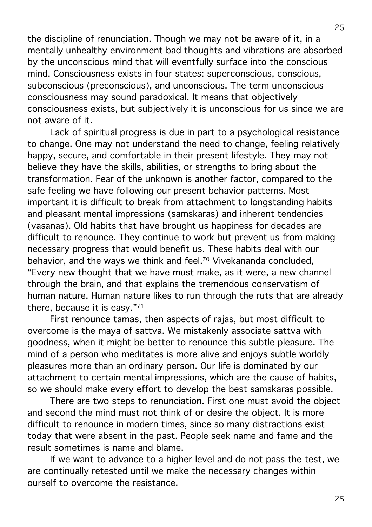the discipline of renunciation. Though we may not be aware of it, in a mentally unhealthy environment bad thoughts and vibrations are absorbed by the unconscious mind that will eventfully surface into the conscious mind. Consciousness exists in four states: superconscious, conscious, subconscious (preconscious), and unconscious. The term unconscious consciousness may sound paradoxical. It means that objectively consciousness exists, but subjectively it is unconscious for us since we are not aware of it.

Lack of spiritual progress is due in part to a psychological resistance to change. One may not understand the need to change, feeling relatively happy, secure, and comfortable in their present lifestyle. They may not believe they have the skills, abilities, or strengths to bring about the transformation. Fear of the unknown is another factor, compared to the safe feeling we have following our present behavior patterns. Most important it is difficult to break from attachment to longstanding habits and pleasant mental impressions (samskaras) and inherent tendencies (vasanas). Old habits that have brought us happiness for decades are difficult to renounce. They continue to work but prevent us from making necessary progress that would benefit us. These habits deal with our behavior, and the ways we think and feel.70 Vivekananda concluded, "Every new thought that we have must make, as it were, a new channel through the brain, and that explains the tremendous conservatism of human nature. Human nature likes to run through the ruts that are already there, because it is easy."71

First renounce tamas, then aspects of rajas, but most difficult to overcome is the maya of sattva. We mistakenly associate sattva with goodness, when it might be better to renounce this subtle pleasure. The mind of a person who meditates is more alive and enjoys subtle worldly pleasures more than an ordinary person. Our life is dominated by our attachment to certain mental impressions, which are the cause of habits, so we should make every effort to develop the best samskaras possible.

There are two steps to renunciation. First one must avoid the object and second the mind must not think of or desire the object. It is more difficult to renounce in modern times, since so many distractions exist today that were absent in the past. People seek name and fame and the result sometimes is name and blame.

If we want to advance to a higher level and do not pass the test, we are continually retested until we make the necessary changes within ourself to overcome the resistance.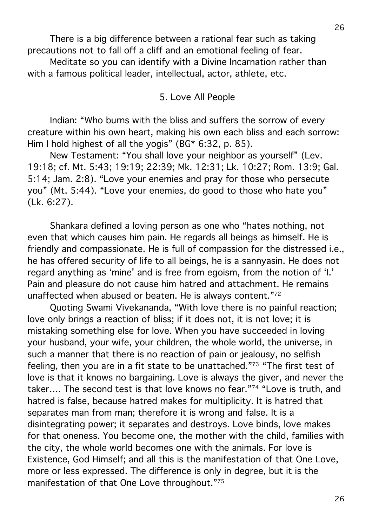There is a big difference between a rational fear such as taking precautions not to fall off a cliff and an emotional feeling of fear.

Meditate so you can identify with a Divine Incarnation rather than with a famous political leader, intellectual, actor, athlete, etc.

5. Love All People

Indian: "Who burns with the bliss and suffers the sorrow of every creature within his own heart, making his own each bliss and each sorrow: Him I hold highest of all the yogis" (BG\* 6:32, p. 85).

New Testament: "You shall love your neighbor as yourself" (Lev. 19:18; cf. Mt. 5:43; 19:19; 22:39; Mk. 12:31; Lk. 10:27; Rom. 13:9; Gal. 5:14; Jam. 2:8). "Love your enemies and pray for those who persecute you" (Mt. 5:44). "Love your enemies, do good to those who hate you" (Lk. 6:27).

Shankara defined a loving person as one who "hates nothing, not even that which causes him pain. He regards all beings as himself. He is friendly and compassionate. He is full of compassion for the distressed i.e., he has offered security of life to all beings, he is a sannyasin. He does not regard anything as 'mine' and is free from egoism, from the notion of 'I.' Pain and pleasure do not cause him hatred and attachment. He remains unaffected when abused or beaten. He is always content."72

Quoting Swami Vivekananda, "With love there is no painful reaction; love only brings a reaction of bliss; if it does not, it is not love; it is mistaking something else for love. When you have succeeded in loving your husband, your wife, your children, the whole world, the universe, in such a manner that there is no reaction of pain or jealousy, no selfish feeling, then you are in a fit state to be unattached."73 "The first test of love is that it knows no bargaining. Love is always the giver, and never the taker…. The second test is that love knows no fear."74 "Love is truth, and hatred is false, because hatred makes for multiplicity. It is hatred that separates man from man; therefore it is wrong and false. It is a disintegrating power; it separates and destroys. Love binds, love makes for that oneness. You become one, the mother with the child, families with the city, the whole world becomes one with the animals. For love is Existence, God Himself; and all this is the manifestation of that One Love, more or less expressed. The difference is only in degree, but it is the manifestation of that One Love throughout."75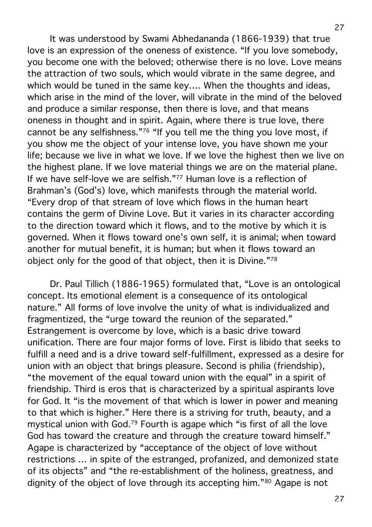It was understood by Swami Abhedananda (1866-1939) that true love is an expression of the oneness of existence. "If you love somebody, you become one with the beloved; otherwise there is no love. Love means the attraction of two souls, which would vibrate in the same degree, and which would be tuned in the same key.... When the thoughts and ideas, which arise in the mind of the lover, will vibrate in the mind of the beloved and produce a similar response, then there is love, and that means oneness in thought and in spirit. Again, where there is true love, there cannot be any selfishness."76 "If you tell me the thing you love most, if you show me the object of your intense love, you have shown me your life; because we live in what we love. If we love the highest then we live on the highest plane. If we love material things we are on the material plane. If we have self-love we are selfish."77 Human love is a reflection of Brahman's (God's) love, which manifests through the material world. "Every drop of that stream of love which flows in the human heart contains the germ of Divine Love. But it varies in its character according to the direction toward which it flows, and to the motive by which it is governed. When it flows toward one's own self, it is animal; when toward another for mutual benefit, it is human; but when it flows toward an object only for the good of that object, then it is Divine."78

Dr. Paul Tillich (1886-1965) formulated that, "Love is an ontological concept. Its emotional element is a consequence of its ontological nature." All forms of love involve the unity of what is individualized and fragmentized, the "urge toward the reunion of the separated." Estrangement is overcome by love, which is a basic drive toward unification. There are four major forms of love. First is libido that seeks to fulfill a need and is a drive toward self-fulfillment, expressed as a desire for union with an object that brings pleasure. Second is philia (friendship), "the movement of the equal toward union with the equal" in a spirit of friendship. Third is eros that is characterized by a spiritual aspirants love for God. It "is the movement of that which is lower in power and meaning to that which is higher." Here there is a striving for truth, beauty, and a mystical union with God.79 Fourth is agape which "is first of all the love God has toward the creature and through the creature toward himself." Agape is characterized by "acceptance of the object of love without restrictions … in spite of the estranged, profanized, and demonized state of its objects" and "the re-establishment of the holiness, greatness, and dignity of the object of love through its accepting him."80 Agape is not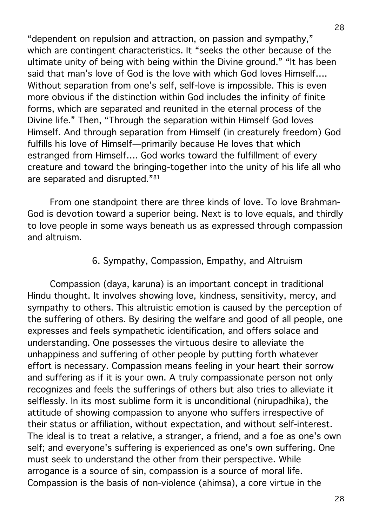"dependent on repulsion and attraction, on passion and sympathy," which are contingent characteristics. It "seeks the other because of the ultimate unity of being with being within the Divine ground." "It has been said that man's love of God is the love with which God loves Himself…. Without separation from one's self, self-love is impossible. This is even more obvious if the distinction within God includes the infinity of finite forms, which are separated and reunited in the eternal process of the Divine life." Then, "Through the separation within Himself God loves Himself. And through separation from Himself (in creaturely freedom) God fulfills his love of Himself—primarily because He loves that which estranged from Himself…. God works toward the fulfillment of every creature and toward the bringing-together into the unity of his life all who are separated and disrupted."81

From one standpoint there are three kinds of love. To love Brahman-God is devotion toward a superior being. Next is to love equals, and thirdly to love people in some ways beneath us as expressed through compassion and altruism.

## 6. Sympathy, Compassion, Empathy, and Altruism

Compassion (daya, karuna) is an important concept in traditional Hindu thought. It involves showing love, kindness, sensitivity, mercy, and sympathy to others. This altruistic emotion is caused by the perception of the suffering of others. By desiring the welfare and good of all people, one expresses and feels sympathetic identification, and offers solace and understanding. One possesses the virtuous desire to alleviate the unhappiness and suffering of other people by putting forth whatever effort is necessary. Compassion means feeling in your heart their sorrow and suffering as if it is your own. A truly compassionate person not only recognizes and feels the sufferings of others but also tries to alleviate it selflessly. In its most sublime form it is unconditional (nirupadhika), the attitude of showing compassion to anyone who suffers irrespective of their status or affiliation, without expectation, and without self-interest. The ideal is to treat a relative, a stranger, a friend, and a foe as one's own self; and everyone's suffering is experienced as one's own suffering. One must seek to understand the other from their perspective. While arrogance is a source of sin, compassion is a source of moral life. Compassion is the basis of non-violence (ahimsa), a core virtue in the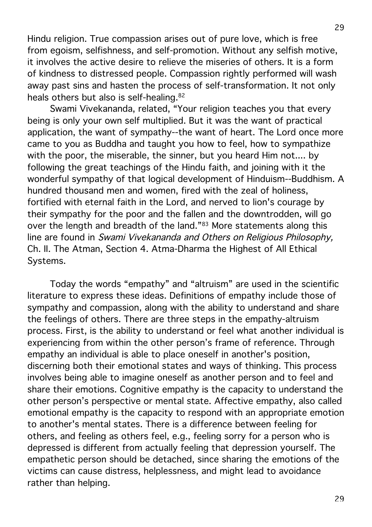Hindu religion. True compassion arises out of pure love, which is free from egoism, selfishness, and self-promotion. Without any selfish motive, it involves the active desire to relieve the miseries of others. It is a form of kindness to distressed people. Compassion rightly performed will wash away past sins and hasten the process of self-transformation. It not only heals others but also is self-healing.82

Swami Vivekananda, related, "Your religion teaches you that every being is only your own self multiplied. But it was the want of practical application, the want of sympathy--the want of heart. The Lord once more came to you as Buddha and taught you how to feel, how to sympathize with the poor, the miserable, the sinner, but you heard Him not.... by following the great teachings of the Hindu faith, and joining with it the wonderful sympathy of that logical development of Hinduism--Buddhism. A hundred thousand men and women, fired with the zeal of holiness, fortified with eternal faith in the Lord, and nerved to lion's courage by their sympathy for the poor and the fallen and the downtrodden, will go over the length and breadth of the land."<sup>83</sup> More statements along this line are found in Swami Vivekananda and Others on Religious Philosophy, Ch. II. The Atman, Section 4. Atma-Dharma the Highest of All Ethical Systems.

Today the words "empathy" and "altruism" are used in the scientific literature to express these ideas. Definitions of empathy include those of sympathy and compassion, along with the ability to understand and share the feelings of others. There are three steps in the empathy-altruism process. First, is the ability to understand or feel what another individual is experiencing from within the other person's frame of reference. Through empathy an individual is able to place oneself in another's position, discerning both their emotional states and ways of thinking. This process involves being able to imagine oneself as another person and to feel and share their emotions. Cognitive empathy is the capacity to understand the other person's perspective or mental state. Affective empathy, also called emotional empathy is the capacity to respond with an appropriate emotion to another's mental states. There is a difference between feeling for others, and feeling as others feel, e.g., feeling sorry for a person who is depressed is different from actually feeling that depression yourself. The empathetic person should be detached, since sharing the emotions of the victims can cause distress, helplessness, and might lead to avoidance rather than helping.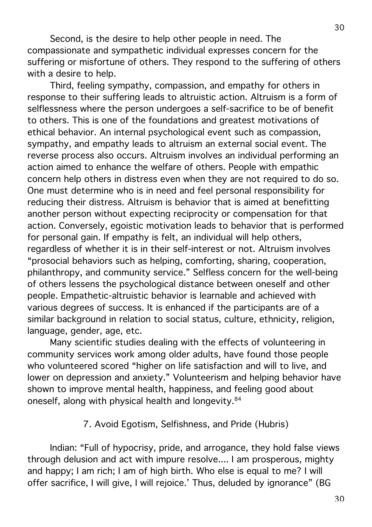Second, is the desire to help other people in need. The compassionate and sympathetic individual expresses concern for the suffering or misfortune of others. They respond to the suffering of others with a desire to help.

Third, feeling sympathy, compassion, and empathy for others in response to their suffering leads to altruistic action. Altruism is a form of selflessness where the person undergoes a self-sacrifice to be of benefit to others. This is one of the foundations and greatest motivations of ethical behavior. An internal psychological event such as compassion, sympathy, and empathy leads to altruism an external social event. The reverse process also occurs. Altruism involves an individual performing an action aimed to enhance the welfare of others. People with empathic concern help others in distress even when they are not required to do so. One must determine who is in need and feel personal responsibility for reducing their distress. Altruism is behavior that is aimed at benefitting another person without expecting reciprocity or compensation for that action. Conversely, egoistic motivation leads to behavior that is performed for personal gain. If empathy is felt, an individual will help others, regardless of whether it is in their self-interest or not. Altruism involves "prosocial behaviors such as helping, comforting, sharing, cooperation, philanthropy, and community service." Selfless concern for the well-being of others lessens the psychological distance between oneself and other people. Empathetic-altruistic behavior is learnable and achieved with various degrees of success. It is enhanced if the participants are of a similar background in relation to social status, culture, ethnicity, religion, language, gender, age, etc.

Many scientific studies dealing with the effects of volunteering in community services work among older adults, have found those people who volunteered scored "higher on life satisfaction and will to live, and lower on depression and anxiety." Volunteerism and helping behavior have shown to improve mental health, happiness, and feeling good about oneself, along with physical health and longevity.84

### 7. Avoid Egotism, Selfishness, and Pride (Hubris)

Indian: "Full of hypocrisy, pride, and arrogance, they hold false views through delusion and act with impure resolve.... I am prosperous, mighty and happy; I am rich; I am of high birth. Who else is equal to me? I will offer sacrifice, I will give, I will rejoice.' Thus, deluded by ignorance" (BG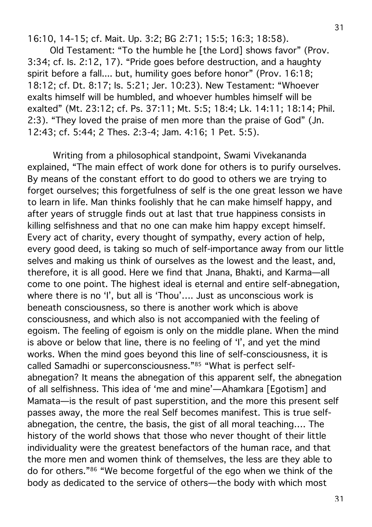16:10, 14-15; cf. Mait. Up. 3:2; BG 2:71; 15:5; 16:3; 18:58).

Old Testament: "To the humble he [the Lord] shows favor" (Prov. 3:34; cf. Is. 2:12, 17). "Pride goes before destruction, and a haughty spirit before a fall.... but, humility goes before honor" (Prov. 16:18; 18:12; cf. Dt. 8:17; Is. 5:21; Jer. 10:23). New Testament: "Whoever exalts himself will be humbled, and whoever humbles himself will be exalted" (Mt. 23:12; cf. Ps. 37:11; Mt. 5:5; 18:4; Lk. 14:11; 18:14; Phil. 2:3). "They loved the praise of men more than the praise of God" (Jn. 12:43; cf. 5:44; 2 Thes. 2:3-4; Jam. 4:16; 1 Pet. 5:5).

 Writing from a philosophical standpoint, Swami Vivekananda explained, "The main effect of work done for others is to purify ourselves. By means of the constant effort to do good to others we are trying to forget ourselves; this forgetfulness of self is the one great lesson we have to learn in life. Man thinks foolishly that he can make himself happy, and after years of struggle finds out at last that true happiness consists in killing selfishness and that no one can make him happy except himself. Every act of charity, every thought of sympathy, every action of help, every good deed, is taking so much of self-importance away from our little selves and making us think of ourselves as the lowest and the least, and, therefore, it is all good. Here we find that Jnana, Bhakti, and Karma—all come to one point. The highest ideal is eternal and entire self-abnegation, where there is no 'I', but all is 'Thou'.... Just as unconscious work is beneath consciousness, so there is another work which is above consciousness, and which also is not accompanied with the feeling of egoism. The feeling of egoism is only on the middle plane. When the mind is above or below that line, there is no feeling of 'I', and yet the mind works. When the mind goes beyond this line of self-consciousness, it is called Samadhi or superconsciousness."85 "What is perfect selfabnegation? It means the abnegation of this apparent self, the abnegation of all selfishness. This idea of 'me and mine'—Ahamkara [Egotism] and Mamata—is the result of past superstition, and the more this present self passes away, the more the real Self becomes manifest. This is true selfabnegation, the centre, the basis, the gist of all moral teaching…. The history of the world shows that those who never thought of their little individuality were the greatest benefactors of the human race, and that the more men and women think of themselves, the less are they able to do for others."86 "We become forgetful of the ego when we think of the body as dedicated to the service of others—the body with which most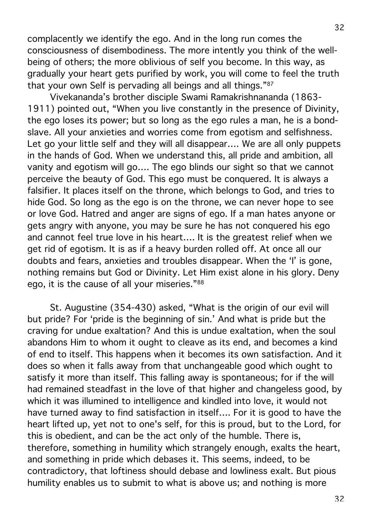complacently we identify the ego. And in the long run comes the consciousness of disembodiness. The more intently you think of the wellbeing of others; the more oblivious of self you become. In this way, as gradually your heart gets purified by work, you will come to feel the truth that your own Self is pervading all beings and all things."87

Vivekananda's brother disciple Swami Ramakrishnananda (1863- 1911) pointed out, "When you live constantly in the presence of Divinity, the ego loses its power; but so long as the ego rules a man, he is a bondslave. All your anxieties and worries come from egotism and selfishness. Let go your little self and they will all disappear…. We are all only puppets in the hands of God. When we understand this, all pride and ambition, all vanity and egotism will go…. The ego blinds our sight so that we cannot perceive the beauty of God. This ego must be conquered. It is always a falsifier. It places itself on the throne, which belongs to God, and tries to hide God. So long as the ego is on the throne, we can never hope to see or love God. Hatred and anger are signs of ego. If a man hates anyone or gets angry with anyone, you may be sure he has not conquered his ego and cannot feel true love in his heart…. It is the greatest relief when we get rid of egotism. It is as if a heavy burden rolled off. At once all our doubts and fears, anxieties and troubles disappear. When the 'I' is gone, nothing remains but God or Divinity. Let Him exist alone in his glory. Deny ego, it is the cause of all your miseries."88

St. Augustine (354-430) asked, "What is the origin of our evil will but pride? For 'pride is the beginning of sin.' And what is pride but the craving for undue exaltation? And this is undue exaltation, when the soul abandons Him to whom it ought to cleave as its end, and becomes a kind of end to itself. This happens when it becomes its own satisfaction. And it does so when it falls away from that unchangeable good which ought to satisfy it more than itself. This falling away is spontaneous; for if the will had remained steadfast in the love of that higher and changeless good, by which it was illumined to intelligence and kindled into love, it would not have turned away to find satisfaction in itself…. For it is good to have the heart lifted up, yet not to one's self, for this is proud, but to the Lord, for this is obedient, and can be the act only of the humble. There is, therefore, something in humility which strangely enough, exalts the heart, and something in pride which debases it. This seems, indeed, to be contradictory, that loftiness should debase and lowliness exalt. But pious humility enables us to submit to what is above us; and nothing is more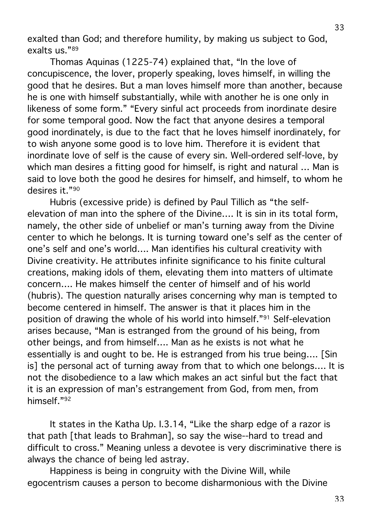exalted than God; and therefore humility, by making us subject to God, exalts us."89

Thomas Aquinas (1225-74) explained that, "In the love of concupiscence, the lover, properly speaking, loves himself, in willing the good that he desires. But a man loves himself more than another, because he is one with himself substantially, while with another he is one only in likeness of some form." "Every sinful act proceeds from inordinate desire for some temporal good. Now the fact that anyone desires a temporal good inordinately, is due to the fact that he loves himself inordinately, for to wish anyone some good is to love him. Therefore it is evident that inordinate love of self is the cause of every sin. Well-ordered self-love, by which man desires a fitting good for himself, is right and natural … Man is said to love both the good he desires for himself, and himself, to whom he desires it."90

Hubris (excessive pride) is defined by Paul Tillich as "the selfelevation of man into the sphere of the Divine…. It is sin in its total form, namely, the other side of unbelief or man's turning away from the Divine center to which he belongs. It is turning toward one's self as the center of one's self and one's world…. Man identifies his cultural creativity with Divine creativity. He attributes infinite significance to his finite cultural creations, making idols of them, elevating them into matters of ultimate concern…. He makes himself the center of himself and of his world (hubris). The question naturally arises concerning why man is tempted to become centered in himself. The answer is that it places him in the position of drawing the whole of his world into himself."91 Self-elevation arises because, "Man is estranged from the ground of his being, from other beings, and from himself…. Man as he exists is not what he essentially is and ought to be. He is estranged from his true being…. [Sin is] the personal act of turning away from that to which one belongs…. It is not the disobedience to a law which makes an act sinful but the fact that it is an expression of man's estrangement from God, from men, from himself."92

It states in the Katha Up. I.3.14, "Like the sharp edge of a razor is that path [that leads to Brahman], so say the wise--hard to tread and difficult to cross." Meaning unless a devotee is very discriminative there is always the chance of being led astray.

Happiness is being in congruity with the Divine Will, while egocentrism causes a person to become disharmonious with the Divine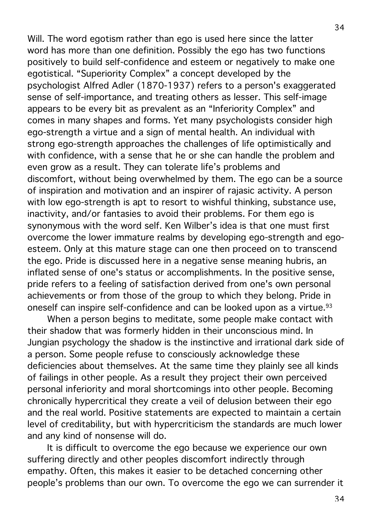Will. The word egotism rather than ego is used here since the latter word has more than one definition. Possibly the ego has two functions positively to build self-confidence and esteem or negatively to make one egotistical. "Superiority Complex" a concept developed by the psychologist Alfred Adler (1870-1937) refers to a person's exaggerated sense of self-importance, and treating others as lesser. This self-image appears to be every bit as prevalent as an "Inferiority Complex" and comes in many shapes and forms. Yet many psychologists consider high ego-strength a virtue and a sign of mental health. An individual with strong ego-strength approaches the challenges of life optimistically and with confidence, with a sense that he or she can handle the problem and even grow as a result. They can tolerate life's problems and discomfort, without being overwhelmed by them. The ego can be a source of inspiration and motivation and an inspirer of rajasic activity. A person with low ego-strength is apt to resort to wishful thinking, substance use, inactivity, and/or fantasies to avoid their problems. For them ego is synonymous with the word self. Ken Wilber's idea is that one must first overcome the lower immature realms by developing ego-strength and egoesteem. Only at this mature stage can one then proceed on to transcend the ego. Pride is discussed here in a negative sense meaning hubris, an inflated sense of one's status or accomplishments. In the positive sense, pride refers to a feeling of satisfaction derived from one's own personal achievements or from those of the group to which they belong. Pride in oneself can inspire self-confidence and can be looked upon as a virtue.<sup>93</sup>

When a person begins to meditate, some people make contact with their shadow that was formerly hidden in their unconscious mind. In Jungian psychology the shadow is the instinctive and irrational dark side of a person. Some people refuse to consciously acknowledge these deficiencies about themselves. At the same time they plainly see all kinds of failings in other people. As a result they project their own perceived personal inferiority and moral shortcomings into other people. Becoming chronically hypercritical they create a veil of delusion between their ego and the real world. Positive statements are expected to maintain a certain level of creditability, but with hypercriticism the standards are much lower and any kind of nonsense will do.

It is difficult to overcome the ego because we experience our own suffering directly and other peoples discomfort indirectly through empathy. Often, this makes it easier to be detached concerning other people's problems than our own. To overcome the ego we can surrender it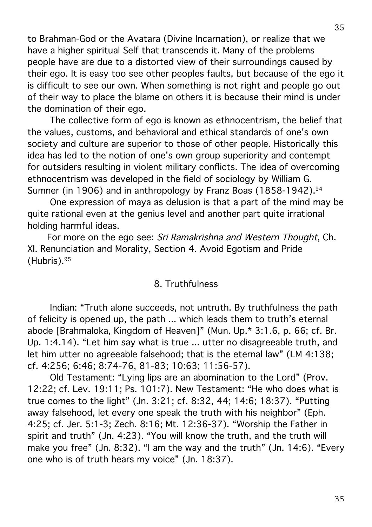to Brahman-God or the Avatara (Divine Incarnation), or realize that we have a higher spiritual Self that transcends it. Many of the problems people have are due to a distorted view of their surroundings caused by their ego. It is easy too see other peoples faults, but because of the ego it is difficult to see our own. When something is not right and people go out of their way to place the blame on others it is because their mind is under the domination of their ego.

The collective form of ego is known as ethnocentrism, the belief that the values, customs, and behavioral and ethical standards of one's own society and culture are superior to those of other people. Historically this idea has led to the notion of one's own group superiority and contempt for outsiders resulting in violent military conflicts. The idea of overcoming ethnocentrism was developed in the field of sociology by William G. Sumner (in 1906) and in anthropology by Franz Boas (1858-1942).<sup>94</sup>

One expression of maya as delusion is that a part of the mind may be quite rational even at the genius level and another part quite irrational holding harmful ideas.

For more on the ego see: Sri Ramakrishna and Western Thought, Ch. XI. Renunciation and Morality, Section 4. Avoid Egotism and Pride (Hubris). 95

#### 8. Truthfulness

Indian: "Truth alone succeeds, not untruth. By truthfulness the path of felicity is opened up, the path ... which leads them to truth's eternal abode [Brahmaloka, Kingdom of Heaven]" (Mun. Up.\* 3:1.6, p. 66; cf. Br. Up. 1:4.14). "Let him say what is true ... utter no disagreeable truth, and let him utter no agreeable falsehood; that is the eternal law" (LM 4:138; cf. 4:256; 6:46; 8:74-76, 81-83; 10:63; 11:56-57).

Old Testament: "Lying lips are an abomination to the Lord" (Prov. 12:22; cf. Lev. 19:11; Ps. 101:7). New Testament: "He who does what is true comes to the light" (Jn. 3:21; cf. 8:32, 44; 14:6; 18:37). "Putting away falsehood, let every one speak the truth with his neighbor" (Eph. 4:25; cf. Jer. 5:1-3; Zech. 8:16; Mt. 12:36-37). "Worship the Father in spirit and truth" (Jn. 4:23). "You will know the truth, and the truth will make you free" (Jn. 8:32). "I am the way and the truth" (Jn. 14:6). "Every one who is of truth hears my voice" (Jn. 18:37).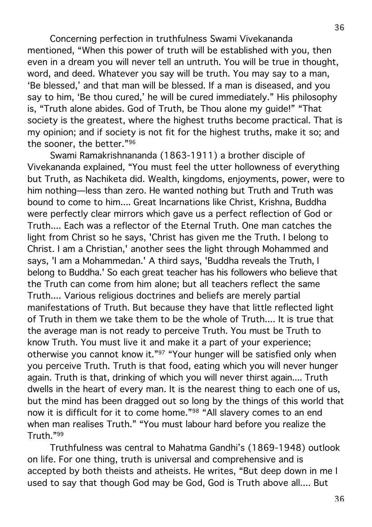Concerning perfection in truthfulness Swami Vivekananda mentioned, "When this power of truth will be established with you, then even in a dream you will never tell an untruth. You will be true in thought, word, and deed. Whatever you say will be truth. You may say to a man, 'Be blessed,' and that man will be blessed. If a man is diseased, and you say to him, 'Be thou cured,' he will be cured immediately." His philosophy is, "Truth alone abides. God of Truth, be Thou alone my guide!" "That society is the greatest, where the highest truths become practical. That is my opinion; and if society is not fit for the highest truths, make it so; and the sooner, the better."96

Swami Ramakrishnananda (1863-1911) a brother disciple of Vivekananda explained, "You must feel the utter hollowness of everything but Truth, as Nachiketa did. Wealth, kingdoms, enjoyments, power, were to him nothing—less than zero. He wanted nothing but Truth and Truth was bound to come to him.... Great Incarnations like Christ, Krishna, Buddha were perfectly clear mirrors which gave us a perfect reflection of God or Truth.... Each was a reflector of the Eternal Truth. One man catches the light from Christ so he says, 'Christ has given me the Truth. I belong to Christ. I am a Christian,' another sees the light through Mohammed and says, 'I am a Mohammedan.' A third says, 'Buddha reveals the Truth, I belong to Buddha.' So each great teacher has his followers who believe that the Truth can come from him alone; but all teachers reflect the same Truth.... Various religious doctrines and beliefs are merely partial manifestations of Truth. But because they have that little reflected light of Truth in them we take them to be the whole of Truth.... It is true that the average man is not ready to perceive Truth. You must be Truth to know Truth. You must live it and make it a part of your experience; otherwise you cannot know it."<sup>97</sup> "Your hunger will be satisfied only when you perceive Truth. Truth is that food, eating which you will never hunger again. Truth is that, drinking of which you will never thirst again.... Truth dwells in the heart of every man. It is the nearest thing to each one of us, but the mind has been dragged out so long by the things of this world that now it is difficult for it to come home."98 "All slavery comes to an end when man realises Truth." "You must labour hard before you realize the Truth."99

Truthfulness was central to Mahatma Gandhi's (1869-1948) outlook on life. For one thing, truth is universal and comprehensive and is accepted by both theists and atheists. He writes, "But deep down in me I used to say that though God may be God, God is Truth above all.... But

36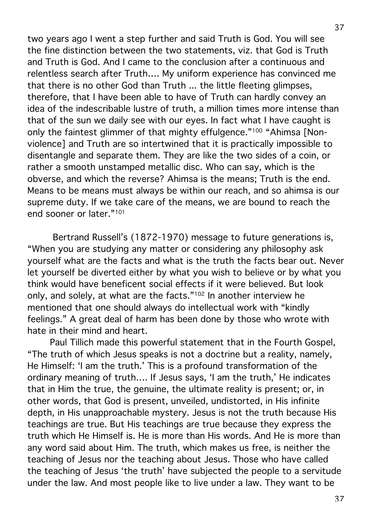two years ago I went a step further and said Truth is God. You will see the fine distinction between the two statements, viz. that God is Truth and Truth is God. And I came to the conclusion after a continuous and relentless search after Truth…. My uniform experience has convinced me that there is no other God than Truth ... the little fleeting glimpses, therefore, that I have been able to have of Truth can hardly convey an idea of the indescribable lustre of truth, a million times more intense than that of the sun we daily see with our eyes. In fact what I have caught is only the faintest glimmer of that mighty effulgence."<sup>100</sup> "Ahimsa [Nonviolence] and Truth are so intertwined that it is practically impossible to disentangle and separate them. They are like the two sides of a coin, or rather a smooth unstamped metallic disc. Who can say, which is the obverse, and which the reverse? Ahimsa is the means; Truth is the end. Means to be means must always be within our reach, and so ahimsa is our supreme duty. If we take care of the means, we are bound to reach the end sooner or later."101

Bertrand Russell's (1872-1970) message to future generations is, "When you are studying any matter or considering any philosophy ask yourself what are the facts and what is the truth the facts bear out. Never let yourself be diverted either by what you wish to believe or by what you think would have beneficent social effects if it were believed. But look only, and solely, at what are the facts."102 In another interview he mentioned that one should always do intellectual work with "kindly feelings." A great deal of harm has been done by those who wrote with hate in their mind and heart.

Paul Tillich made this powerful statement that in the Fourth Gospel, "The truth of which Jesus speaks is not a doctrine but a reality, namely, He Himself: 'I am the truth.' This is a profound transformation of the ordinary meaning of truth…. If Jesus says, 'I am the truth,' He indicates that in Him the true, the genuine, the ultimate reality is present; or, in other words, that God is present, unveiled, undistorted, in His infinite depth, in His unapproachable mystery. Jesus is not the truth because His teachings are true. But His teachings are true because they express the truth which He Himself is. He is more than His words. And He is more than any word said about Him. The truth, which makes us free, is neither the teaching of Jesus nor the teaching about Jesus. Those who have called the teaching of Jesus 'the truth' have subjected the people to a servitude under the law. And most people like to live under a law. They want to be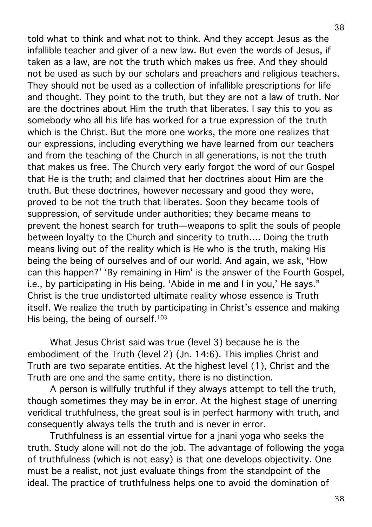told what to think and what not to think. And they accept Jesus as the infallible teacher and giver of a new law. But even the words of Jesus, if taken as a law, are not the truth which makes us free. And they should not be used as such by our scholars and preachers and religious teachers. They should not be used as a collection of infallible prescriptions for life and thought. They point to the truth, but they are not a law of truth. Nor are the doctrines about Him the truth that liberates. I say this to you as somebody who all his life has worked for a true expression of the truth which is the Christ. But the more one works, the more one realizes that our expressions, including everything we have learned from our teachers and from the teaching of the Church in all generations, is not the truth that makes us free. The Church very early forgot the word of our Gospel that He is the truth; and claimed that her doctrines about Him are the truth. But these doctrines, however necessary and good they were, proved to be not the truth that liberates. Soon they became tools of suppression, of servitude under authorities; they became means to prevent the honest search for truth—weapons to split the souls of people between loyalty to the Church and sincerity to truth…. Doing the truth means living out of the reality which is He who is the truth, making His being the being of ourselves and of our world. And again, we ask, 'How can this happen?' 'By remaining in Him' is the answer of the Fourth Gospel, i.e., by participating in His being. 'Abide in me and I in you,' He says." Christ is the true undistorted ultimate reality whose essence is Truth itself. We realize the truth by participating in Christ's essence and making His being, the being of ourself.<sup>103</sup>

What Jesus Christ said was true (level 3) because he is the embodiment of the Truth (level 2) (Jn. 14:6). This implies Christ and Truth are two separate entities. At the highest level (1), Christ and the Truth are one and the same entity, there is no distinction.

A person is willfully truthful if they always attempt to tell the truth, though sometimes they may be in error. At the highest stage of unerring veridical truthfulness, the great soul is in perfect harmony with truth, and consequently always tells the truth and is never in error.

Truthfulness is an essential virtue for a jnani yoga who seeks the truth. Study alone will not do the job. The advantage of following the yoga of truthfulness (which is not easy) is that one develops objectivity. One must be a realist, not just evaluate things from the standpoint of the ideal. The practice of truthfulness helps one to avoid the domination of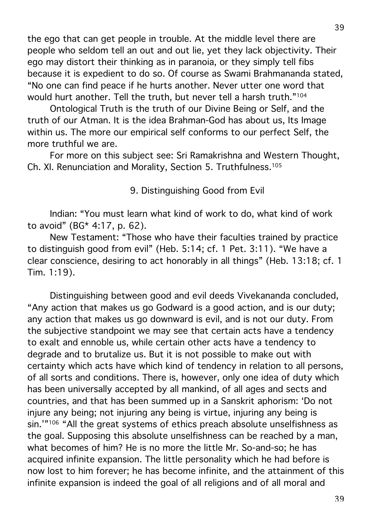the ego that can get people in trouble. At the middle level there are people who seldom tell an out and out lie, yet they lack objectivity. Their ego may distort their thinking as in paranoia, or they simply tell fibs because it is expedient to do so. Of course as Swami Brahmananda stated, "No one can find peace if he hurts another. Never utter one word that would hurt another. Tell the truth, but never tell a harsh truth."104

Ontological Truth is the truth of our Divine Being or Self, and the truth of our Atman. It is the idea Brahman-God has about us, Its Image within us. The more our empirical self conforms to our perfect Self, the more truthful we are.

For more on this subject see: Sri Ramakrishna and Western Thought, Ch. XI. Renunciation and Morality, Section 5. Truthfulness. 105

9. Distinguishing Good from Evil

Indian: "You must learn what kind of work to do, what kind of work to avoid" (BG\* 4:17, p. 62).

New Testament: "Those who have their faculties trained by practice to distinguish good from evil" (Heb. 5:14; cf. 1 Pet. 3:11). "We have a clear conscience, desiring to act honorably in all things" (Heb. 13:18; cf. 1 Tim. 1:19).

Distinguishing between good and evil deeds Vivekananda concluded, "Any action that makes us go Godward is a good action, and is our duty; any action that makes us go downward is evil, and is not our duty. From the subjective standpoint we may see that certain acts have a tendency to exalt and ennoble us, while certain other acts have a tendency to degrade and to brutalize us. But it is not possible to make out with certainty which acts have which kind of tendency in relation to all persons, of all sorts and conditions. There is, however, only one idea of duty which has been universally accepted by all mankind, of all ages and sects and countries, and that has been summed up in a Sanskrit aphorism: 'Do not injure any being; not injuring any being is virtue, injuring any being is sin.'"<sup>106</sup> "All the great systems of ethics preach absolute unselfishness as the goal. Supposing this absolute unselfishness can be reached by a man, what becomes of him? He is no more the little Mr. So-and-so; he has acquired infinite expansion. The little personality which he had before is now lost to him forever; he has become infinite, and the attainment of this infinite expansion is indeed the goal of all religions and of all moral and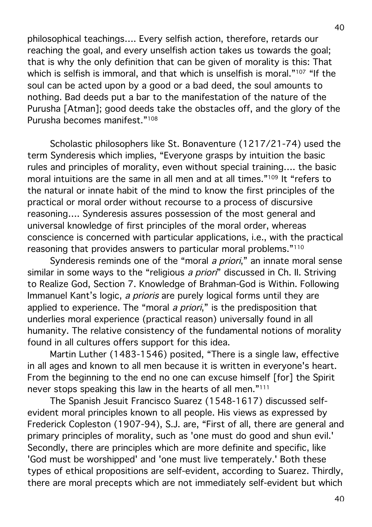philosophical teachings…. Every selfish action, therefore, retards our reaching the goal, and every unselfish action takes us towards the goal; that is why the only definition that can be given of morality is this: That which is selfish is immoral, and that which is unselfish is moral."<sup>107</sup> "If the soul can be acted upon by a good or a bad deed, the soul amounts to nothing. Bad deeds put a bar to the manifestation of the nature of the Purusha [Atman]; good deeds take the obstacles off, and the glory of the Purusha becomes manifest."108

Scholastic philosophers like St. Bonaventure (1217/21-74) used the term Synderesis which implies, "Everyone grasps by intuition the basic rules and principles of morality, even without special training…. the basic moral intuitions are the same in all men and at all times."109 It "refers to the natural or innate habit of the mind to know the first principles of the practical or moral order without recourse to a process of discursive reasoning…. Synderesis assures possession of the most general and universal knowledge of first principles of the moral order, whereas conscience is concerned with particular applications, i.e., with the practical reasoning that provides answers to particular moral problems."110

Synderesis reminds one of the "moral *a priori*," an innate moral sense similar in some ways to the "religious a priori" discussed in Ch. II. Striving to Realize God, Section 7. Knowledge of Brahman-God is Within. Following Immanuel Kant's logic, a prioris are purely logical forms until they are applied to experience. The "moral *a priori*," is the predisposition that underlies moral experience (practical reason) universally found in all humanity. The relative consistency of the fundamental notions of morality found in all cultures offers support for this idea.

Martin Luther (1483-1546) posited, "There is a single law, effective in all ages and known to all men because it is written in everyone's heart. From the beginning to the end no one can excuse himself [for] the Spirit never stops speaking this law in the hearts of all men."111

The Spanish Jesuit Francisco Suarez (1548-1617) discussed selfevident moral principles known to all people. His views as expressed by Frederick Copleston (1907-94), S.J. are, "First of all, there are general and primary principles of morality, such as 'one must do good and shun evil.' Secondly, there are principles which are more definite and specific, like 'God must be worshipped' and 'one must live temperately.' Both these types of ethical propositions are self-evident, according to Suarez. Thirdly, there are moral precepts which are not immediately self-evident but which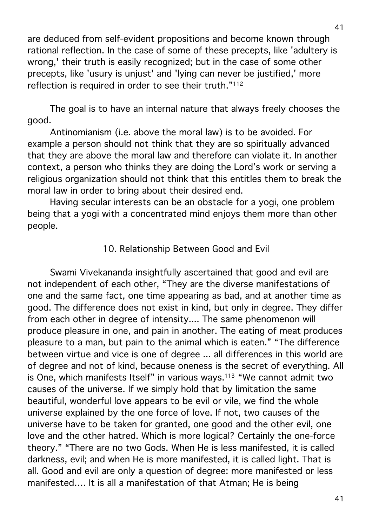are deduced from self-evident propositions and become known through rational reflection. In the case of some of these precepts, like 'adultery is wrong,' their truth is easily recognized; but in the case of some other precepts, like 'usury is unjust' and 'lying can never be justified,' more reflection is required in order to see their truth."112

The goal is to have an internal nature that always freely chooses the good.

Antinomianism (i.e. above the moral law) is to be avoided. For example a person should not think that they are so spiritually advanced that they are above the moral law and therefore can violate it. In another context, a person who thinks they are doing the Lord's work or serving a religious organization should not think that this entitles them to break the moral law in order to bring about their desired end.

Having secular interests can be an obstacle for a yogi, one problem being that a yogi with a concentrated mind enjoys them more than other people.

# 10. Relationship Between Good and Evil

Swami Vivekananda insightfully ascertained that good and evil are not independent of each other, "They are the diverse manifestations of one and the same fact, one time appearing as bad, and at another time as good. The difference does not exist in kind, but only in degree. They differ from each other in degree of intensity.... The same phenomenon will produce pleasure in one, and pain in another. The eating of meat produces pleasure to a man, but pain to the animal which is eaten." "The difference between virtue and vice is one of degree ... all differences in this world are of degree and not of kind, because oneness is the secret of everything. All is One, which manifests Itself" in various ways.113 "We cannot admit two causes of the universe. If we simply hold that by limitation the same beautiful, wonderful love appears to be evil or vile, we find the whole universe explained by the one force of love. If not, two causes of the universe have to be taken for granted, one good and the other evil, one love and the other hatred. Which is more logical? Certainly the one-force theory." "There are no two Gods. When He is less manifested, it is called darkness, evil; and when He is more manifested, it is called light. That is all. Good and evil are only a question of degree: more manifested or less manifested…. It is all a manifestation of that Atman; He is being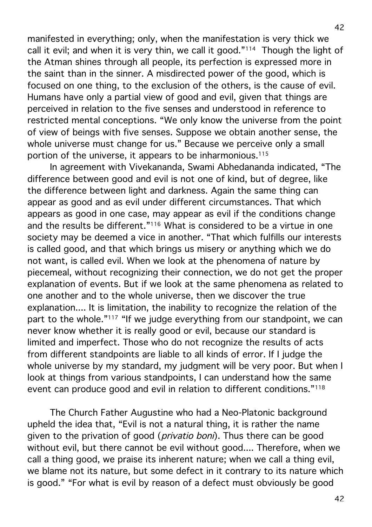manifested in everything; only, when the manifestation is very thick we call it evil; and when it is very thin, we call it good."114 Though the light of the Atman shines through all people, its perfection is expressed more in the saint than in the sinner. A misdirected power of the good, which is focused on one thing, to the exclusion of the others, is the cause of evil. Humans have only a partial view of good and evil, given that things are perceived in relation to the five senses and understood in reference to restricted mental conceptions. "We only know the universe from the point of view of beings with five senses. Suppose we obtain another sense, the whole universe must change for us." Because we perceive only a small portion of the universe, it appears to be inharmonious.115

In agreement with Vivekananda, Swami Abhedananda indicated, "The difference between good and evil is not one of kind, but of degree, like the difference between light and darkness. Again the same thing can appear as good and as evil under different circumstances. That which appears as good in one case, may appear as evil if the conditions change and the results be different."<sup>116</sup> What is considered to be a virtue in one society may be deemed a vice in another. "That which fulfills our interests is called good, and that which brings us misery or anything which we do not want, is called evil. When we look at the phenomena of nature by piecemeal, without recognizing their connection, we do not get the proper explanation of events. But if we look at the same phenomena as related to one another and to the whole universe, then we discover the true explanation.... It is limitation, the inability to recognize the relation of the part to the whole."<sup>117</sup> "If we judge everything from our standpoint, we can never know whether it is really good or evil, because our standard is limited and imperfect. Those who do not recognize the results of acts from different standpoints are liable to all kinds of error. If I judge the whole universe by my standard, my judgment will be very poor. But when I look at things from various standpoints, I can understand how the same event can produce good and evil in relation to different conditions."118

The Church Father Augustine who had a Neo-Platonic background upheld the idea that, "Evil is not a natural thing, it is rather the name given to the privation of good (*privatio boni*). Thus there can be good without evil, but there cannot be evil without good.... Therefore, when we call a thing good, we praise its inherent nature; when we call a thing evil, we blame not its nature, but some defect in it contrary to its nature which is good." "For what is evil by reason of a defect must obviously be good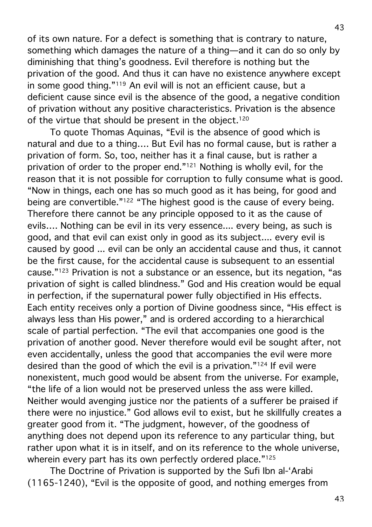43

of its own nature. For a defect is something that is contrary to nature, something which damages the nature of a thing—and it can do so only by diminishing that thing's goodness. Evil therefore is nothing but the privation of the good. And thus it can have no existence anywhere except in some good thing."119 An evil will is not an efficient cause, but a deficient cause since evil is the absence of the good, a negative condition of privation without any positive characteristics. Privation is the absence of the virtue that should be present in the object.<sup>120</sup>

To quote Thomas Aquinas, "Evil is the absence of good which is natural and due to a thing…. But Evil has no formal cause, but is rather a privation of form. So, too, neither has it a final cause, but is rather a privation of order to the proper end."121 Nothing is wholly evil, for the reason that it is not possible for corruption to fully consume what is good. "Now in things, each one has so much good as it has being, for good and being are convertible."122 "The highest good is the cause of every being. Therefore there cannot be any principle opposed to it as the cause of evils…. Nothing can be evil in its very essence.... every being, as such is good, and that evil can exist only in good as its subject.... every evil is caused by good ... evil can be only an accidental cause and thus, it cannot be the first cause, for the accidental cause is subsequent to an essential cause."123 Privation is not a substance or an essence, but its negation, "as privation of sight is called blindness." God and His creation would be equal in perfection, if the supernatural power fully objectified in His effects. Each entity receives only a portion of Divine goodness since, "His effect is always less than His power," and is ordered according to a hierarchical scale of partial perfection. "The evil that accompanies one good is the privation of another good. Never therefore would evil be sought after, not even accidentally, unless the good that accompanies the evil were more desired than the good of which the evil is a privation."124 If evil were nonexistent, much good would be absent from the universe. For example, "the life of a lion would not be preserved unless the ass were killed. Neither would avenging justice nor the patients of a sufferer be praised if there were no injustice." God allows evil to exist, but he skillfully creates a greater good from it. "The judgment, however, of the goodness of anything does not depend upon its reference to any particular thing, but rather upon what it is in itself, and on its reference to the whole universe, wherein every part has its own perfectly ordered place."125

The Doctrine of Privation is supported by the Sufi Ibn al-'Arabi (1165-1240), "Evil is the opposite of good, and nothing emerges from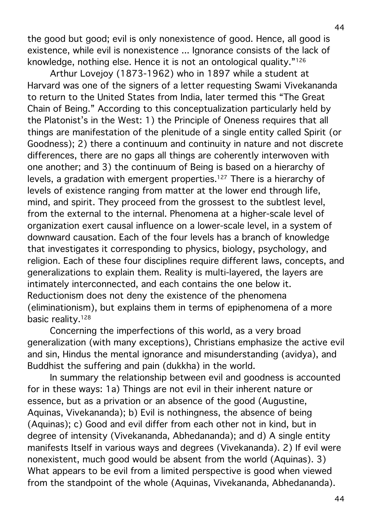the good but good; evil is only nonexistence of good. Hence, all good is existence, while evil is nonexistence ... Ignorance consists of the lack of knowledge, nothing else. Hence it is not an ontological quality."126

Arthur Lovejoy (1873-1962) who in 1897 while a student at Harvard was one of the signers of a letter requesting Swami Vivekananda to return to the United States from India, later termed this "The Great Chain of Being." According to this conceptualization particularly held by the Platonist's in the West: 1) the Principle of Oneness requires that all things are manifestation of the plenitude of a single entity called Spirit (or Goodness); 2) there a continuum and continuity in nature and not discrete differences, there are no gaps all things are coherently interwoven with one another; and 3) the continuum of Being is based on a hierarchy of levels, a gradation with emergent properties.127 There is a hierarchy of levels of existence ranging from matter at the lower end through life, mind, and spirit. They proceed from the grossest to the subtlest level, from the external to the internal. Phenomena at a higher-scale level of organization exert causal influence on a lower-scale level, in a system of downward causation. Each of the four levels has a branch of knowledge that investigates it corresponding to physics, biology, psychology, and religion. Each of these four disciplines require different laws, concepts, and generalizations to explain them. Reality is multi-layered, the layers are intimately interconnected, and each contains the one below it. Reductionism does not deny the existence of the phenomena (eliminationism), but explains them in terms of epiphenomena of a more basic reality.<sup>128</sup>

Concerning the imperfections of this world, as a very broad generalization (with many exceptions), Christians emphasize the active evil and sin, Hindus the mental ignorance and misunderstanding (avidya), and Buddhist the suffering and pain (dukkha) in the world.

In summary the relationship between evil and goodness is accounted for in these ways: 1a) Things are not evil in their inherent nature or essence, but as a privation or an absence of the good (Augustine, Aquinas, Vivekananda); b) Evil is nothingness, the absence of being (Aquinas); c) Good and evil differ from each other not in kind, but in degree of intensity (Vivekananda, Abhedananda); and d) A single entity manifests Itself in various ways and degrees (Vivekananda). 2) If evil were nonexistent, much good would be absent from the world (Aquinas). 3) What appears to be evil from a limited perspective is good when viewed from the standpoint of the whole (Aquinas, Vivekananda, Abhedananda).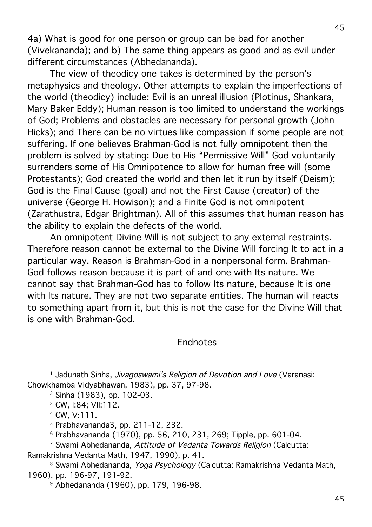4a) What is good for one person or group can be bad for another (Vivekananda); and b) The same thing appears as good and as evil under different circumstances (Abhedananda).

The view of theodicy one takes is determined by the person's metaphysics and theology. Other attempts to explain the imperfections of the world (theodicy) include: Evil is an unreal illusion (Plotinus, Shankara, Mary Baker Eddy); Human reason is too limited to understand the workings of God; Problems and obstacles are necessary for personal growth (John Hicks); and There can be no virtues like compassion if some people are not suffering. If one believes Brahman-God is not fully omnipotent then the problem is solved by stating: Due to His "Permissive Will" God voluntarily surrenders some of His Omnipotence to allow for human free will (some Protestants); God created the world and then let it run by itself (Deism); God is the Final Cause (goal) and not the First Cause (creator) of the universe (George H. Howison); and a Finite God is not omnipotent (Zarathustra, Edgar Brightman). All of this assumes that human reason has the ability to explain the defects of the world.

An omnipotent Divine Will is not subject to any external restraints. Therefore reason cannot be external to the Divine Will forcing It to act in a particular way. Reason is Brahman-God in a nonpersonal form. Brahman-God follows reason because it is part of and one with Its nature. We cannot say that Brahman-God has to follow Its nature, because It is one with Its nature. They are not two separate entities. The human will reacts to something apart from it, but this is not the case for the Divine Will that is one with Brahman-God.

Endnotes

5 Prabhavananda3, pp. 211-12, 232.

<sup>7</sup> Swami Abhedananda, Attitude of Vedanta Towards Religion (Calcutta: Ramakrishna Vedanta Math, 1947, 1990), p. 41.

<sup>8</sup> Swami Abhedananda, *Yoga Psychology* (Calcutta: Ramakrishna Vedanta Math, 1960), pp. 196-97, 191-92.

9 Abhedananda (1960), pp. 179, 196-98.

<sup>&</sup>lt;sup>1</sup> Jadunath Sinha, *Jivagoswami's Religion of Devotion and Love* (Varanasi: Chowkhamba Vidyabhawan, 1983), pp. 37, 97-98.

<sup>2</sup> Sinha (1983), pp. 102-03.

<sup>3</sup> CW, I:84; VII:112.

<sup>4</sup> CW, V:111.

<sup>6</sup> Prabhavananda (1970), pp. 56, 210, 231, 269; Tipple, pp. 601-04.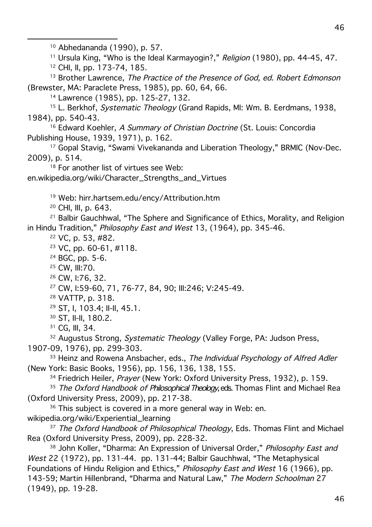10 Abhedananda (1990), p. 57.

<sup>11</sup> Ursula King, "Who is the Ideal Karmayogin?," Religion (1980), pp. 44-45, 47.

12 CHI, II, pp. 173-74, 185.

<sup>13</sup> Brother Lawrence, The Practice of the Presence of God, ed. Robert Edmonson (Brewster, MA: Paraclete Press, 1985), pp. 60, 64, 66.

14 Lawrence (1985), pp. 125-27, 132.

<sup>15</sup> L. Berkhof, *Systematic Theology* (Grand Rapids, MI: Wm. B. Eerdmans, 1938, 1984), pp. 540-43.

<sup>16</sup> Edward Koehler, A Summary of Christian Doctrine (St. Louis: Concordia Publishing House, 1939, 1971), p. 162.

<sup>17</sup> Gopal Stavig, "Swami Vivekananda and Liberation Theology," BRMIC (Nov-Dec. 2009), p. 514.

<sup>18</sup> For another list of virtues see Web: en.wikipedia.org/wiki/Character\_Strengths\_and\_Virtues

19 Web: hirr.hartsem.edu/ency/Attribution.htm

20 CHI, III, p. 643.

<sup>21</sup> Balbir Gauchhwal, "The Sphere and Significance of Ethics, Morality, and Religion in Hindu Tradition," Philosophy East and West 13, (1964), pp. 345-46.

22 VC, p. 53, #82.

 $23$  VC, pp. 60-61, #118.

24 BGC, pp. 5-6.

25 CW, III:70.

26 CW, I:76, 32.

27 CW, I:59-60, 71, 76-77, 84, 90; III:246; V:245-49.

28 VATTP, p. 318.

29 ST, I, 103.4; II-II, 45.1.

30 ST, II-II, 180.2.

31 CG, III, 34.

<sup>32</sup> Augustus Strong, Systematic Theology (Valley Forge, PA: Judson Press,

1907-09, 1976), pp. 299-303.

<sup>33</sup> Heinz and Rowena Ansbacher, eds., The Individual Psychology of Alfred Adler (New York: Basic Books, 1956), pp. 156, 136, 138, 155.

<sup>34</sup> Friedrich Heiler, Prayer (New York: Oxford University Press, 1932), p. 159.

<sup>35</sup> The Oxford Handbook of Philosophical Theology, eds. Thomas Flint and Michael Rea (Oxford University Press, 2009), pp. 217-38.

<sup>36</sup> This subject is covered in a more general way in Web: en. wikipedia.org/wiki/Experiential\_learning

<sup>37</sup> The Oxford Handbook of Philosophical Theology, Eds. Thomas Flint and Michael Rea (Oxford University Press, 2009), pp. 228-32.

38 John Koller, "Dharma: An Expression of Universal Order," Philosophy East and West 22 (1972), pp. 131-44. pp. 131-44; Balbir Gauchhwal, "The Metaphysical Foundations of Hindu Religion and Ethics," Philosophy East and West 16 (1966), pp. 143-59; Martin Hillenbrand, "Dharma and Natural Law," The Modern Schoolman 27 (1949), pp. 19-28.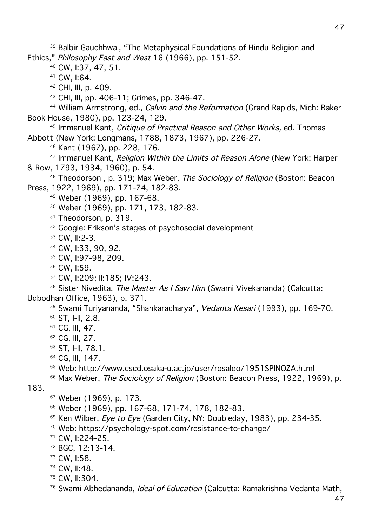39 Balbir Gauchhwal, "The Metaphysical Foundations of Hindu Religion and Ethics," Philosophy East and West 16 (1966), pp. 151-52.

40 CW, I:37, 47, 51.

41 CW, I:64.

42 CHI, III, p. 409.

43 CHI, III, pp. 406-11; Grimes, pp. 346-47.

<sup>44</sup> William Armstrong, ed., *Calvin and the Reformation* (Grand Rapids, Mich: Baker Book House, 1980), pp. 123-24, 129.

<sup>45</sup> Immanuel Kant, *Critique of Practical Reason and Other Works*, ed. Thomas Abbott (New York: Longmans, 1788, 1873, 1967), pp. 226-27.

46 Kant (1967), pp. 228, 176.

<sup>47</sup> Immanuel Kant, *Religion Within the Limits of Reason Alone* (New York: Harper & Row, 1793, 1934, 1960), p. 54.

<sup>48</sup> Theodorson, p. 319; Max Weber, *The Sociology of Religion* (Boston: Beacon Press, 1922, 1969), pp. 171-74, 182-83.

49 Weber (1969), pp. 167-68.

50 Weber (1969), pp. 171, 173, 182-83.

<sup>51</sup> Theodorson, p. 319.

52 Google: Erikson's stages of psychosocial development

53 CW, II:2-3.

- 54 CW, I:33, 90, 92.
- 55 CW, I:97-98, 209.
- 56 CW, I:59.
- 57 CW, I:209; II:185; IV:243.

58 Sister Nivedita, The Master As I Saw Him (Swami Vivekananda) (Calcutta: Udbodhan Office, 1963), p. 371.

59 Swami Turiyananda, "Shankaracharya", Vedanta Kesari (1993), pp. 169-70.

- 60 ST, I-II, 2.8.
- 61 CG, III, 47.
- 62 CG, III, 27.
- 63 ST, I-II, 78.1.
- 64 CG, III, 147.
- 65 Web: http://www.cscd.osaka-u.ac.jp/user/rosaldo/1951SPINOZA.html
- <sup>66</sup> Max Weber, *The Sociology of Religion* (Boston: Beacon Press, 1922, 1969), p.

183.

- 67 Weber (1969), p. 173.
- 68 Weber (1969), pp. 167-68, 171-74, 178, 182-83.
- $69$  Ken Wilber, Eye to Eye (Garden City, NY: Doubleday, 1983), pp. 234-35.
- 70 Web: https://psychology-spot.com/resistance-to-change/
- 71 CW, I:224-25.
- 72 BGC, 12:13-14.
- 73 CW, I:58.
- 74 CW, II:48.
- 75 CW, II:304.
- <sup>76</sup> Swami Abhedananda, *Ideal of Education* (Calcutta: Ramakrishna Vedanta Math,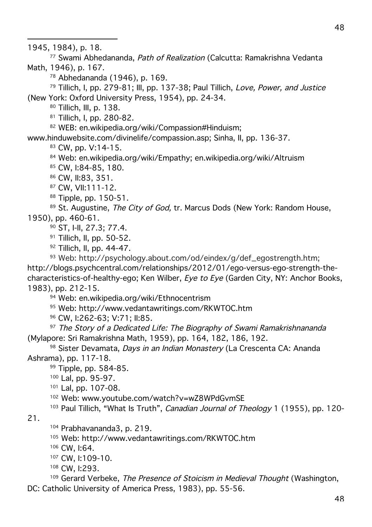1945, 1984), p. 18.

 $\overline{a}$ 

77 Swami Abhedananda, Path of Realization (Calcutta: Ramakrishna Vedanta Math, 1946), p. 167.

78 Abhedananda (1946), p. 169.

<sup>79</sup> Tillich, I, pp. 279-81; III, pp. 137-38; Paul Tillich, Love, Power, and Justice (New York: Oxford University Press, 1954), pp. 24-34.

80 Tillich, III, p. 138.

81 Tillich, I, pp. 280-82.

82 WEB: en.wikipedia.org/wiki/Compassion#Hinduism:

www.hinduwebsite.com/divinelife/compassion.asp; Sinha, II, pp. 136-37.

83 CW, pp. V:14-15.

84 Web: en.wikipedia.org/wiki/Empathy; en.wikipedia.org/wiki/Altruism

<sup>85</sup> CW, I:84-85, 180.

86 CW, II:83, 351.

87 CW, VII:111-12.

88 Tipple, pp. 150-51.

<sup>89</sup> St. Augustine, *The City of God*, tr. Marcus Dods (New York: Random House, 1950), pp. 460-61.

90 ST, I-II, 27.3; 77.4.

91 Tillich, II, pp. 50-52.

92 Tillich, II, pp. 44-47.

<sup>93</sup> Web: http://psychology.about.com/od/eindex/g/def\_egostrength.htm; http://blogs.psychcentral.com/relationships/2012/01/ego-versus-ego-strength-thecharacteristics-of-healthy-ego; Ken Wilber, Eye to Eye (Garden City, NY: Anchor Books, 1983), pp. 212-15.

94 Web: en.wikipedia.org/wiki/Ethnocentrism

95 Web: http://www.vedantawritings.com/RKWTOC.htm

96 CW, I:262-63; V:71; II:85.

 $97$  The Story of a Dedicated Life: The Biography of Swami Ramakrishnananda (Mylapore: Sri Ramakrishna Math, 1959), pp. 164, 182, 186, 192.

98 Sister Devamata, Days in an Indian Monastery (La Crescenta CA: Ananda Ashrama), pp. 117-18.

99 Tipple, pp. 584-85.

100 Lal, pp. 95-97.

101 Lal, pp. 107-08.

<sup>102</sup> Web: www.youtube.com/watch?v=wZ8WPdGvmSE

<sup>103</sup> Paul Tillich, "What Is Truth", *Canadian Journal of Theology* 1 (1955), pp. 120-

21.

104 Prabhavananda3, p. 219.

105 Web: http://www.vedantawritings.com/RKWTOC.htm

106 CW, I:64.

107 CW, I:109-10.

108 CW, I:293.

<sup>109</sup> Gerard Verbeke, The Presence of Stoicism in Medieval Thought (Washington,

DC: Catholic University of America Press, 1983), pp. 55-56.